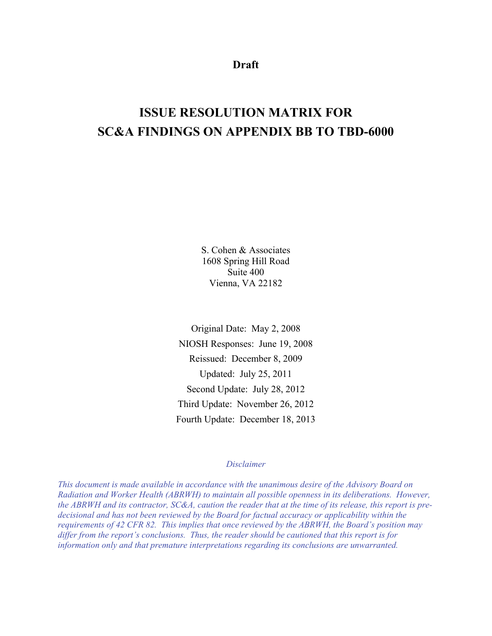**Draft** 

# **ISSUE RESOLUTION MATRIX FOR SC&A FINDINGS ON APPENDIX BB TO TBD-6000**

S. Cohen & Associates 1608 Spring Hill Road Suite 400 Vienna, VA 22182

Original Date: May 2, 2008 NIOSH Responses: June 19, 2008 Reissued: December 8, 2009 Updated: July 25, 2011 Second Update: July 28, 2012 Third Update: November 26, 2012 Fourth Update: December 18, 2013

### *Disclaimer*

*This document is made available in accordance with the unanimous desire of the Advisory Board on Radiation and Worker Health (ABRWH) to maintain all possible openness in its deliberations. However, the ABRWH and its contractor, SC&A, caution the reader that at the time of its release, this report is predecisional and has not been reviewed by the Board for factual accuracy or applicability within the requirements of 42 CFR 82. This implies that once reviewed by the ABRWH, the Board's position may differ from the report's conclusions. Thus, the reader should be cautioned that this report is for information only and that premature interpretations regarding its conclusions are unwarranted.*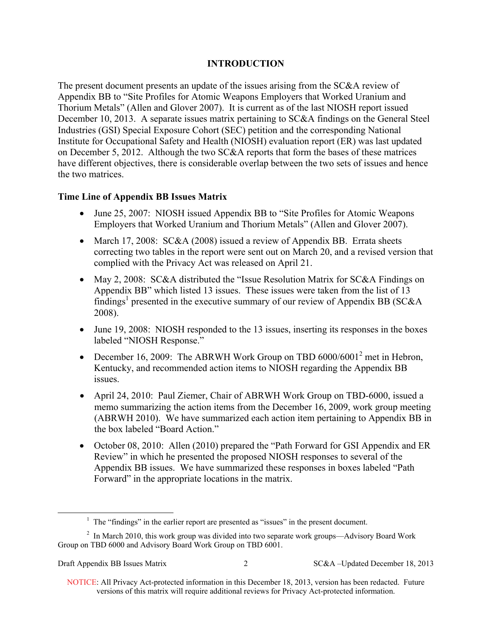# **INTRODUCTION**

The present document presents an update of the issues arising from the SC&A review of Appendix BB to "Site Profiles for Atomic Weapons Employers that Worked Uranium and Thorium Metals" (Allen and Glover 2007). It is current as of the last NIOSH report issued December 10, 2013. A separate issues matrix pertaining to SC&A findings on the General Steel Industries (GSI) Special Exposure Cohort (SEC) petition and the corresponding National Institute for Occupational Safety and Health (NIOSH) evaluation report (ER) was last updated on December 5, 2012. Although the two SC&A reports that form the bases of these matrices have different objectives, there is considerable overlap between the two sets of issues and hence the two matrices.

# **Time Line of Appendix BB Issues Matrix**

- June 25, 2007: NIOSH issued Appendix BB to "Site Profiles for Atomic Weapons" Employers that Worked Uranium and Thorium Metals" (Allen and Glover 2007).
- March 17, 2008: SC&A (2008) issued a review of Appendix BB. Errata sheets correcting two tables in the report were sent out on March 20, and a revised version that complied with the Privacy Act was released on April 21.
- May 2, 2008: SC&A distributed the "Issue Resolution Matrix for SC&A Findings on Appendix BB" which listed 13 issues. These issues were taken from the list of 13 findings<sup>1</sup> presented in the executive summary of our review of Appendix BB (SC&A 2008).
- June 19, 2008: NIOSH responded to the 13 issues, inserting its responses in the boxes labeled "NIOSH Response."
- December 16, 2009: The ABRWH Work Group on TBD  $6000/6001^2$  met in Hebron, Kentucky, and recommended action items to NIOSH regarding the Appendix BB issues.
- April 24, 2010: Paul Ziemer, Chair of ABRWH Work Group on TBD-6000, issued a memo summarizing the action items from the December 16, 2009, work group meeting (ABRWH 2010). We have summarized each action item pertaining to Appendix BB in the box labeled "Board Action."
- October 08, 2010: Allen (2010) prepared the "Path Forward for GSI Appendix and ER Review" in which he presented the proposed NIOSH responses to several of the Appendix BB issues. We have summarized these responses in boxes labeled "Path Forward" in the appropriate locations in the matrix.

 $\overline{a}$ 

 $<sup>1</sup>$  The "findings" in the earlier report are presented as "issues" in the present document.</sup>

 $2$  In March 2010, this work group was divided into two separate work groups—Advisory Board Work Group on TBD 6000 and Advisory Board Work Group on TBD 6001.

Draft Appendix BB Issues Matrix 2 SC&A –Updated December 18, 2013

 NOTICE: All Privacy Act-protected information in this December 18, 2013, version has been redacted. Future versions of this matrix will require additional reviews for Privacy Act-protected information.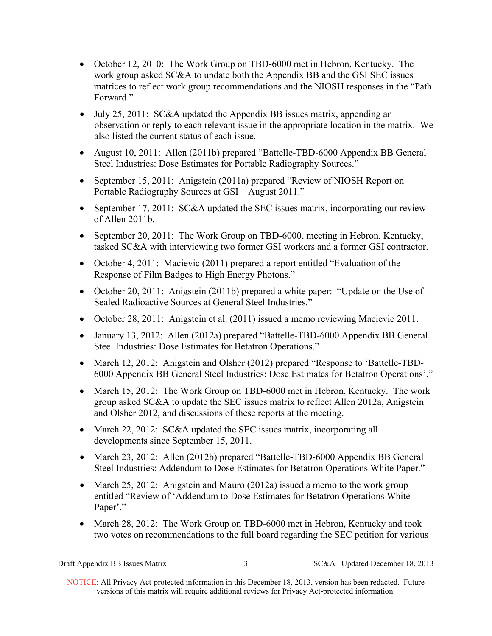- October 12, 2010: The Work Group on TBD-6000 met in Hebron, Kentucky. The work group asked SC&A to update both the Appendix BB and the GSI SEC issues matrices to reflect work group recommendations and the NIOSH responses in the "Path Forward."
- July 25, 2011: SC&A updated the Appendix BB issues matrix, appending an observation or reply to each relevant issue in the appropriate location in the matrix. We also listed the current status of each issue.
- August 10, 2011: Allen (2011b) prepared "Battelle-TBD-6000 Appendix BB General Steel Industries: Dose Estimates for Portable Radiography Sources."
- September 15, 2011: Anigstein (2011a) prepared "Review of NIOSH Report on Portable Radiography Sources at GSI—August 2011."
- September 17, 2011: SC&A updated the SEC issues matrix, incorporating our review of Allen 2011b.
- September 20, 2011: The Work Group on TBD-6000, meeting in Hebron, Kentucky, tasked SC&A with interviewing two former GSI workers and a former GSI contractor.
- October 4, 2011: Macievic (2011) prepared a report entitled "Evaluation of the Response of Film Badges to High Energy Photons."
- October 20, 2011: Anigstein (2011b) prepared a white paper: "Update on the Use of Sealed Radioactive Sources at General Steel Industries."
- October 28, 2011: Anigstein et al. (2011) issued a memo reviewing Macievic 2011.
- January 13, 2012: Allen (2012a) prepared "Battelle-TBD-6000 Appendix BB General Steel Industries: Dose Estimates for Betatron Operations."
- March 12, 2012: Anigstein and Olsher (2012) prepared "Response to 'Battelle-TBD-6000 Appendix BB General Steel Industries: Dose Estimates for Betatron Operations'."
- March 15, 2012: The Work Group on TBD-6000 met in Hebron, Kentucky. The work group asked SC&A to update the SEC issues matrix to reflect Allen 2012a, Anigstein and Olsher 2012, and discussions of these reports at the meeting.
- March 22, 2012: SC&A updated the SEC issues matrix, incorporating all developments since September 15, 2011.
- March 23, 2012: Allen (2012b) prepared "Battelle-TBD-6000 Appendix BB General Steel Industries: Addendum to Dose Estimates for Betatron Operations White Paper."
- March 25, 2012: Anigstein and Mauro (2012a) issued a memo to the work group entitled "Review of 'Addendum to Dose Estimates for Betatron Operations White Paper'."
- March 28, 2012: The Work Group on TBD-6000 met in Hebron, Kentucky and took two votes on recommendations to the full board regarding the SEC petition for various

Draft Appendix BB Issues Matrix 3 SC&A –Updated December 18, 2013

 NOTICE: All Privacy Act-protected information in this December 18, 2013, version has been redacted. Future versions of this matrix will require additional reviews for Privacy Act-protected information.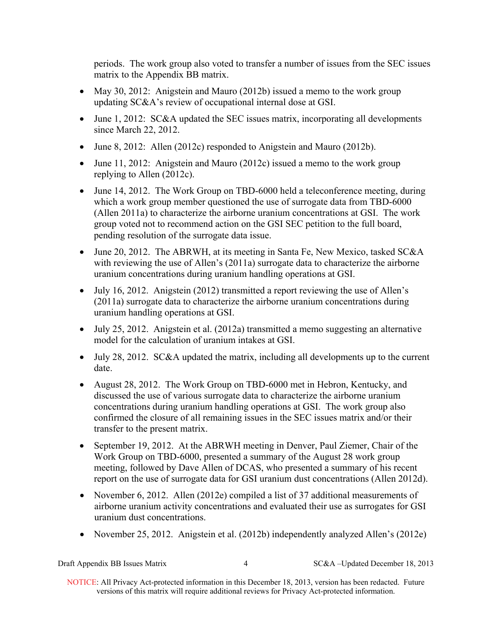periods. The work group also voted to transfer a number of issues from the SEC issues matrix to the Appendix BB matrix.

- May 30, 2012: Anigstein and Mauro (2012b) issued a memo to the work group updating SC&A's review of occupational internal dose at GSI.
- June 1, 2012: SC&A updated the SEC issues matrix, incorporating all developments since March 22, 2012.
- June 8, 2012: Allen (2012c) responded to Anigstein and Mauro (2012b).
- June 11, 2012: Anigstein and Mauro (2012c) issued a memo to the work group replying to Allen (2012c).
- June 14, 2012. The Work Group on TBD-6000 held a teleconference meeting, during which a work group member questioned the use of surrogate data from TBD-6000 (Allen 2011a) to characterize the airborne uranium concentrations at GSI. The work group voted not to recommend action on the GSI SEC petition to the full board, pending resolution of the surrogate data issue.
- June 20, 2012. The ABRWH, at its meeting in Santa Fe, New Mexico, tasked SC&A with reviewing the use of Allen's (2011a) surrogate data to characterize the airborne uranium concentrations during uranium handling operations at GSI.
- July 16, 2012. Anigstein (2012) transmitted a report reviewing the use of Allen's (2011a) surrogate data to characterize the airborne uranium concentrations during uranium handling operations at GSI.
- July 25, 2012. Anigstein et al. (2012a) transmitted a memo suggesting an alternative model for the calculation of uranium intakes at GSI.
- July 28, 2012. SC&A updated the matrix, including all developments up to the current date.
- August 28, 2012. The Work Group on TBD-6000 met in Hebron, Kentucky, and discussed the use of various surrogate data to characterize the airborne uranium concentrations during uranium handling operations at GSI. The work group also confirmed the closure of all remaining issues in the SEC issues matrix and/or their transfer to the present matrix.
- September 19, 2012. At the ABRWH meeting in Denver, Paul Ziemer, Chair of the Work Group on TBD-6000, presented a summary of the August 28 work group meeting, followed by Dave Allen of DCAS, who presented a summary of his recent report on the use of surrogate data for GSI uranium dust concentrations (Allen 2012d).
- November 6, 2012. Allen (2012e) compiled a list of 37 additional measurements of airborne uranium activity concentrations and evaluated their use as surrogates for GSI uranium dust concentrations.
- November 25, 2012. Anigstein et al. (2012b) independently analyzed Allen's (2012e)

| Draft Appendix BB Issues Matrix |
|---------------------------------|
|---------------------------------|

4 SC&A –Updated December 18, 2013

 NOTICE: All Privacy Act-protected information in this December 18, 2013, version has been redacted. Future versions of this matrix will require additional reviews for Privacy Act-protected information.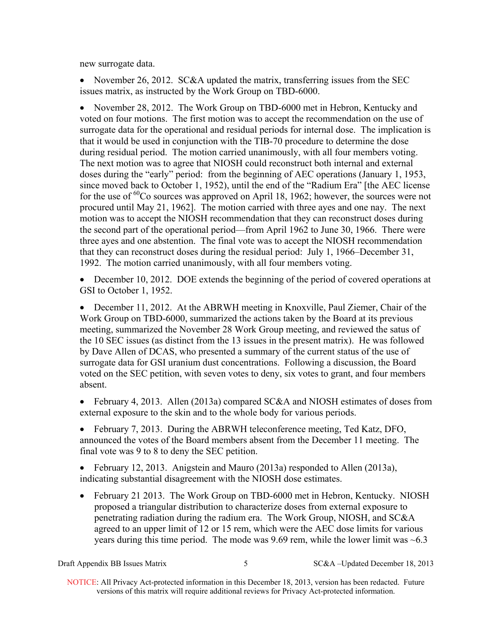new surrogate data.

• November 26, 2012. SC&A updated the matrix, transferring issues from the SEC issues matrix, as instructed by the Work Group on TBD-6000.

• November 28, 2012. The Work Group on TBD-6000 met in Hebron, Kentucky and voted on four motions. The first motion was to accept the recommendation on the use of surrogate data for the operational and residual periods for internal dose. The implication is that it would be used in conjunction with the TIB-70 procedure to determine the dose during residual period. The motion carried unanimously, with all four members voting. The next motion was to agree that NIOSH could reconstruct both internal and external doses during the "early" period: from the beginning of AEC operations (January 1, 1953, since moved back to October 1, 1952), until the end of the "Radium Era" [the AEC license for the use of  ${}^{60}$ Co sources was approved on April 18, 1962; however, the sources were not procured until May 21, 1962]. The motion carried with three ayes and one nay. The next motion was to accept the NIOSH recommendation that they can reconstruct doses during the second part of the operational period—from April 1962 to June 30, 1966. There were three ayes and one abstention. The final vote was to accept the NIOSH recommendation that they can reconstruct doses during the residual period: July 1, 1966–December 31, 1992. The motion carried unanimously, with all four members voting.

 December 10, 2012. DOE extends the beginning of the period of covered operations at GSI to October 1, 1952.

 December 11, 2012. At the ABRWH meeting in Knoxville, Paul Ziemer, Chair of the Work Group on TBD-6000, summarized the actions taken by the Board at its previous meeting, summarized the November 28 Work Group meeting, and reviewed the satus of the 10 SEC issues (as distinct from the 13 issues in the present matrix). He was followed by Dave Allen of DCAS, who presented a summary of the current status of the use of surrogate data for GSI uranium dust concentrations. Following a discussion, the Board voted on the SEC petition, with seven votes to deny, six votes to grant, and four members absent.

• February 4, 2013. Allen (2013a) compared SC&A and NIOSH estimates of doses from external exposure to the skin and to the whole body for various periods.

• February 7, 2013. During the ABRWH teleconference meeting, Ted Katz, DFO, announced the votes of the Board members absent from the December 11 meeting. The final vote was 9 to 8 to deny the SEC petition.

• February 12, 2013. Anigstein and Mauro (2013a) responded to Allen (2013a), indicating substantial disagreement with the NIOSH dose estimates.

• February 21 2013. The Work Group on TBD-6000 met in Hebron, Kentucky. NIOSH proposed a triangular distribution to characterize doses from external exposure to penetrating radiation during the radium era. The Work Group, NIOSH, and SC&A agreed to an upper limit of 12 or 15 rem, which were the AEC dose limits for various years during this time period. The mode was 9.69 rem, while the lower limit was  $\sim 6.3$ 

Draft Appendix BB Issues Matrix 5 SC&A –Updated December 18, 2013

 NOTICE: All Privacy Act-protected information in this December 18, 2013, version has been redacted. Future versions of this matrix will require additional reviews for Privacy Act-protected information.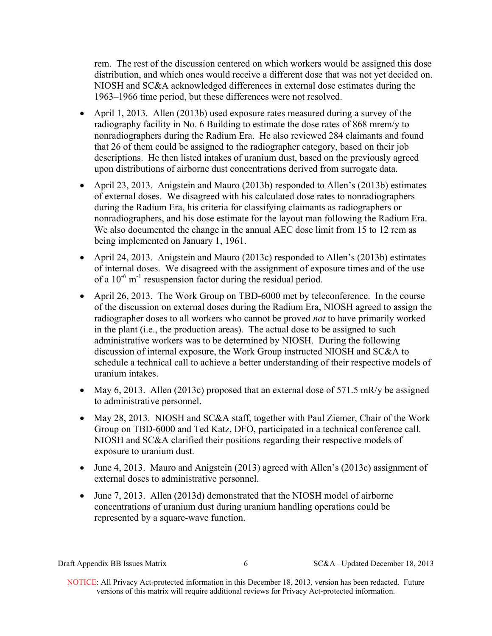rem. The rest of the discussion centered on which workers would be assigned this dose distribution, and which ones would receive a different dose that was not yet decided on. NIOSH and SC&A acknowledged differences in external dose estimates during the 1963–1966 time period, but these differences were not resolved.

- April 1, 2013. Allen (2013b) used exposure rates measured during a survey of the radiography facility in No. 6 Building to estimate the dose rates of 868 mrem/y to nonradiographers during the Radium Era. He also reviewed 284 claimants and found that 26 of them could be assigned to the radiographer category, based on their job descriptions. He then listed intakes of uranium dust, based on the previously agreed upon distributions of airborne dust concentrations derived from surrogate data.
- nonradiographers, and his dose estimate for the layout man following the Radium Era. April 23, 2013. Anigstein and Mauro (2013b) responded to Allen's (2013b) estimates of external doses. We disagreed with his calculated dose rates to nonradiographers during the Radium Era, his criteria for classifying claimants as radiographers or We also documented the change in the annual AEC dose limit from 15 to 12 rem as being implemented on January 1, 1961.
- April 24, 2013. Anigstein and Mauro (2013c) responded to Allen's (2013b) estimates of internal doses. We disagreed with the assignment of exposure times and of the use of a  $10^{-6}$  m<sup>-1</sup> resuspension factor during the residual period.
- April 26, 2013. The Work Group on TBD-6000 met by teleconference. In the course of the discussion on external doses during the Radium Era, NIOSH agreed to assign the radiographer doses to all workers who cannot be proved *not* to have primarily worked in the plant (i.e., the production areas). The actual dose to be assigned to such administrative workers was to be determined by NIOSH. During the following discussion of internal exposure, the Work Group instructed NIOSH and SC&A to schedule a technical call to achieve a better understanding of their respective models of uranium intakes.
- May 6, 2013. Allen (2013c) proposed that an external dose of  $571.5$  mR/y be assigned to administrative personnel.
- May 28, 2013. NIOSH and SC&A staff, together with Paul Ziemer, Chair of the Work Group on TBD-6000 and Ted Katz, DFO, participated in a technical conference call. NIOSH and SC&A clarified their positions regarding their respective models of exposure to uranium dust.
- June 4, 2013. Mauro and Anigstein (2013) agreed with Allen's (2013c) assignment of external doses to administrative personnel.
- June 7, 2013. Allen (2013d) demonstrated that the NIOSH model of airborne concentrations of uranium dust during uranium handling operations could be represented by a square-wave function.

Draft Appendix BB Issues Matrix 6 SC&A –Updated December 18, 2013

 NOTICE: All Privacy Act-protected information in this December 18, 2013, version has been redacted. Future versions of this matrix will require additional reviews for Privacy Act-protected information.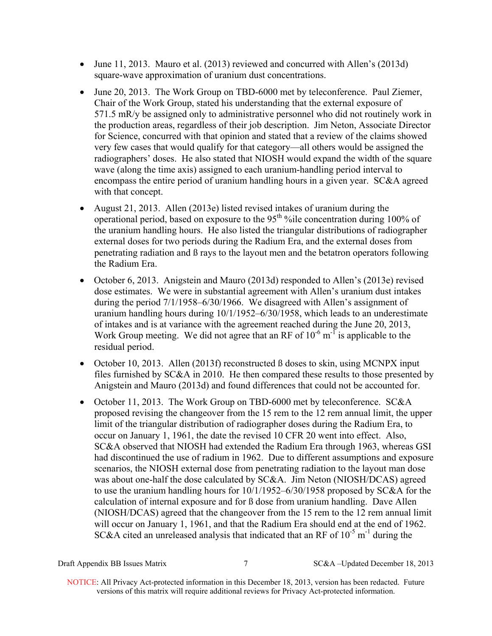- June 11, 2013. Mauro et al. (2013) reviewed and concurred with Allen's (2013d) square-wave approximation of uranium dust concentrations.
- June 20, 2013. The Work Group on TBD-6000 met by teleconference. Paul Ziemer, Chair of the Work Group, stated his understanding that the external exposure of 571.5 mR/y be assigned only to administrative personnel who did not routinely work in the production areas, regardless of their job description. Jim Neton, Associate Director for Science, concurred with that opinion and stated that a review of the claims showed very few cases that would qualify for that category—all others would be assigned the radiographers' doses. He also stated that NIOSH would expand the width of the square wave (along the time axis) assigned to each uranium-handling period interval to encompass the entire period of uranium handling hours in a given year. SC&A agreed with that concept.
- August 21, 2013. Allen (2013e) listed revised intakes of uranium during the operational period, based on exposure to the  $95<sup>th</sup>$ % ile concentration during 100% of the uranium handling hours. He also listed the triangular distributions of radiographer external doses for two periods during the Radium Era, and the external doses from penetrating radiation and ß rays to the layout men and the betatron operators following the Radium Era.
- October 6, 2013. Anigstein and Mauro (2013d) responded to Allen's (2013e) revised dose estimates. We were in substantial agreement with Allen's uranium dust intakes during the period 7/1/1958–6/30/1966. We disagreed with Allen's assignment of uranium handling hours during 10/1/1952–6/30/1958, which leads to an underestimate of intakes and is at variance with the agreement reached during the June 20, 2013, Work Group meeting. We did not agree that an RF of  $10^{-6}$  m<sup>-1</sup> is applicable to the residual period.
- October 10, 2013. Allen (2013f) reconstructed  $\beta$  doses to skin, using MCNPX input files furnished by SC&A in 2010. He then compared these results to those presented by Anigstein and Mauro (2013d) and found differences that could not be accounted for.
- October 11, 2013. The Work Group on TBD-6000 met by teleconference. SC&A proposed revising the changeover from the 15 rem to the 12 rem annual limit, the upper limit of the triangular distribution of radiographer doses during the Radium Era, to occur on January 1, 1961, the date the revised 10 CFR 20 went into effect. Also, SC&A observed that NIOSH had extended the Radium Era through 1963, whereas GSI had discontinued the use of radium in 1962. Due to different assumptions and exposure scenarios, the NIOSH external dose from penetrating radiation to the layout man dose was about one-half the dose calculated by SC&A. Jim Neton (NIOSH/DCAS) agreed to use the uranium handling hours for 10/1/1952–6/30/1958 proposed by SC&A for the calculation of internal exposure and for ß dose from uranium handling. Dave Allen (NIOSH/DCAS) agreed that the changeover from the 15 rem to the 12 rem annual limit will occur on January 1, 1961, and that the Radium Era should end at the end of 1962. SC&A cited an unreleased analysis that indicated that an RF of  $10^{-5}$  m<sup>-1</sup> during the

Draft Appendix BB Issues Matrix 7 SC&A –Updated December 18, 2013

 NOTICE: All Privacy Act-protected information in this December 18, 2013, version has been redacted. Future versions of this matrix will require additional reviews for Privacy Act-protected information.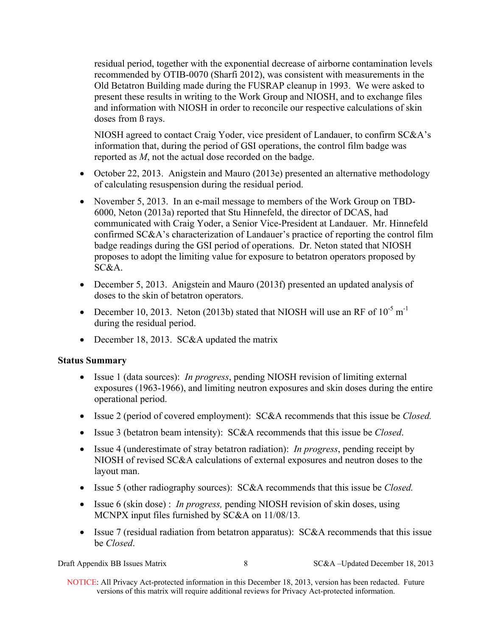residual period, together with the exponential decrease of airborne contamination levels recommended by OTIB-0070 (Sharfi 2012), was consistent with measurements in the Old Betatron Building made during the FUSRAP cleanup in 1993. We were asked to present these results in writing to the Work Group and NIOSH, and to exchange files and information with NIOSH in order to reconcile our respective calculations of skin doses from ß rays.

NIOSH agreed to contact Craig Yoder, vice president of Landauer, to confirm SC&A's information that, during the period of GSI operations, the control film badge was reported as *M*, not the actual dose recorded on the badge.

- October 22, 2013. Anigstein and Mauro (2013e) presented an alternative methodology of calculating resuspension during the residual period.
- November 5, 2013. In an e-mail message to members of the Work Group on TBD-6000, Neton (2013a) reported that Stu Hinnefeld, the director of DCAS, had communicated with Craig Yoder, a Senior Vice-President at Landauer. Mr. Hinnefeld confirmed SC&A's characterization of Landauer's practice of reporting the control film badge readings during the GSI period of operations. Dr. Neton stated that NIOSH proposes to adopt the limiting value for exposure to betatron operators proposed by SC&A.
- December 5, 2013. Anigstein and Mauro (2013f) presented an updated analysis of doses to the skin of betatron operators.
- December 10, 2013. Neton (2013b) stated that NIOSH will use an RF of  $10^{-5}$  m<sup>-1</sup> during the residual period.
- December 18, 2013. SC&A updated the matrix

# **Status Summary**

- Issue 1 (data sources): *In progress*, pending NIOSH revision of limiting external exposures (1963-1966), and limiting neutron exposures and skin doses during the entire operational period.
- Issue 2 (period of covered employment): SC&A recommends that this issue be *Closed.*
- Issue 3 (betatron beam intensity): SC&A recommends that this issue be *Closed*.
- Issue 4 (underestimate of stray betatron radiation): *In progress*, pending receipt by NIOSH of revised SC&A calculations of external exposures and neutron doses to the layout man.
- Issue 5 (other radiography sources): SC&A recommends that this issue be *Closed.*
- Issue 6 (skin dose) : *In progress*, pending NIOSH revision of skin doses, using MCNPX input files furnished by SC&A on 11/08/13*.*
- Issue 7 (residual radiation from betatron apparatus): SC&A recommends that this issue be *Closed*.

Draft Appendix BB Issues Matrix 8 SC&A –Updated December 18, 2013

 NOTICE: All Privacy Act-protected information in this December 18, 2013, version has been redacted. Future versions of this matrix will require additional reviews for Privacy Act-protected information.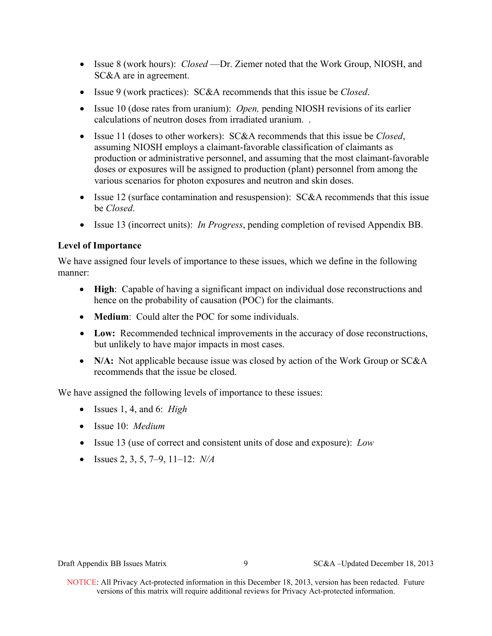- Issue 8 (work hours): *Closed* —Dr. Ziemer noted that the Work Group, NIOSH, and SC&A are in agreement.
- Issue 9 (work practices): SC&A recommends that this issue be *Closed*.
- calculations of neutron doses from irradiated uranium. . Issue 10 (dose rates from uranium): *Open,* pending NIOSH revisions of its earlier
- Issue 11 (doses to other workers): SC&A recommends that this issue be *Closed*, assuming NIOSH employs a claimant-favorable classification of claimants as production or administrative personnel, and assuming that the most claimant-favorable doses or exposures will be assigned to production (plant) personnel from among the various scenarios for photon exposures and neutron and skin doses.
- Issue 12 (surface contamination and resuspension):  $SC&A$  recommends that this issue be *Closed*.
- Issue 13 (incorrect units): *In Progress*, pending completion of revised Appendix BB.

# **Level of Importance**

We have assigned four levels of importance to these issues, which we define in the following manner:

- **High**: Capable of having a significant impact on individual dose reconstructions and hence on the probability of causation (POC) for the claimants.
- **Medium**: Could alter the POC for some individuals.
- **Low:** Recommended technical improvements in the accuracy of dose reconstructions, but unlikely to have major impacts in most cases.
- N/A: Not applicable because issue was closed by action of the Work Group or SC&A recommends that the issue be closed.

We have assigned the following levels of importance to these issues:

- Issues 1, 4, and 6: *High*
- Issue 10: *Medium*
- Issue 13 (use of correct and consistent units of dose and exposure): *Low*
- Issues 2, 3, 5, 7–9, 11–12: *N/A*

Draft Appendix BB Issues Matrix 9 SC&A –Updated December 18, 2013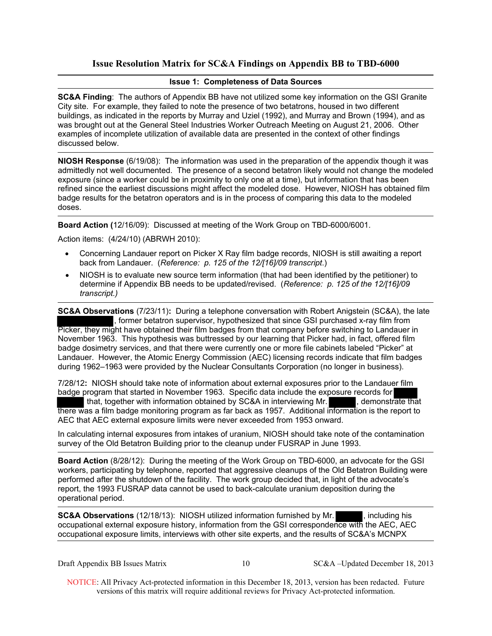# **Issue Resolution Matrix for SC&A Findings on Appendix BB to TBD-6000**

### **Issue 1: Completeness of Data Sources**

**SC&A Finding**: The authors of Appendix BB have not utilized some key information on the GSI Granite City site. For example, they failed to note the presence of two betatrons, housed in two different buildings, as indicated in the reports by Murray and Uziel (1992), and Murray and Brown (1994), and as was brought out at the General Steel Industries Worker Outreach Meeting on August 21, 2006. Other examples of incomplete utilization of available data are presented in the context of other findings discussed below.

**NIOSH Response** (6/19/08): The information was used in the preparation of the appendix though it was admittedly not well documented. The presence of a second betatron likely would not change the modeled exposure (since a worker could be in proximity to only one at a time), but information that has been refined since the earliest discussions might affect the modeled dose. However, NIOSH has obtained film badge results for the betatron operators and is in the process of comparing this data to the modeled doses.

**Board Action (**12/16/09): Discussed at meeting of the Work Group on TBD-6000/6001.

Action items: (4/24/10) (ABRWH 2010):

- Concerning Landauer report on Picker X Ray film badge records, NIOSH is still awaiting a report back from Landauer. (*Reference: p. 125 of the 12/[16]/09 transcript*.)
- NIOSH is to evaluate new source term information (that had been identified by the petitioner) to determine if Appendix BB needs to be updated/revised. (*Reference: p. 125 of the 12/[16]/09 transcript.)*

**SC&A Observations** (7/23/11)**:** During a telephone conversation with Robert Anigstein (SC&A), the late , former betatron supervisor, hypothesized that since GSI purchased x-ray film from Picker, they might have obtained their film badges from that company before switching to Landauer in November 1963. This hypothesis was buttressed by our learning that Picker had, in fact, offered film badge dosimetry services, and that there were currently one or more file cabinets labeled "Picker" at Landauer. However, the Atomic Energy Commission (AEC) licensing records indicate that film badges during 1962–1963 were provided by the Nuclear Consultants Corporation (no longer in business).

7/28/12**:** NIOSH should take note of information about external exposures prior to the Landauer film badge program that started in November 1963. Specific data include the exposure records for that, together with information obtained by SC&A in interviewing Mr. , demonstrate that there was a film badge monitoring program as far back as 1957. Additional information is the report to AEC that AEC external exposure limits were never exceeded from 1953 onward.

In calculating internal exposures from intakes of uranium, NIOSH should take note of the contamination survey of the Old Betatron Building prior to the cleanup under FUSRAP in June 1993.

**Board Action** (8/28/12): During the meeting of the Work Group on TBD-6000, an advocate for the GSI workers, participating by telephone, reported that aggressive cleanups of the Old Betatron Building were performed after the shutdown of the facility. The work group decided that, in light of the advocate's report, the 1993 FUSRAP data cannot be used to back-calculate uranium deposition during the operational period.

**SC&A Observations** (12/18/13): NIOSH utilized information furnished by Mr. , including his occupational external exposure history, information from the GSI correspondence with the AEC, AEC occupational exposure limits, interviews with other site experts, and the results of SC&A's MCNPX

Draft Appendix BB Issues Matrix 10 SC&A –Updated December 18, 2013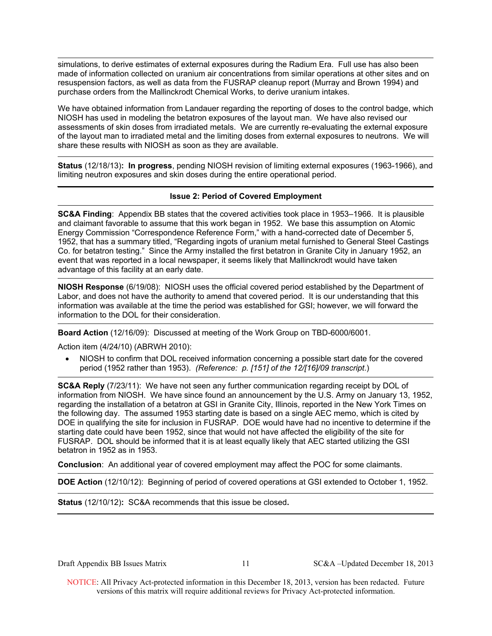simulations, to derive estimates of external exposures during the Radium Era. Full use has also been made of information collected on uranium air concentrations from similar operations at other sites and on resuspension factors, as well as data from the FUSRAP cleanup report (Murray and Brown 1994) and purchase orders from the Mallinckrodt Chemical Works, to derive uranium intakes.

We have obtained information from Landauer regarding the reporting of doses to the control badge, which NIOSH has used in modeling the betatron exposures of the layout man. We have also revised our assessments of skin doses from irradiated metals. We are currently re-evaluating the external exposure of the layout man to irradiated metal and the limiting doses from external exposures to neutrons. We will share these results with NIOSH as soon as they are available.

 **Status** (12/18/13)**: In progress**, pending NIOSH revision of limiting external exposures (1963-1966), and limiting neutron exposures and skin doses during the entire operational period.

### **Issue 2: Period of Covered Employment**

**SC&A Finding**: Appendix BB states that the covered activities took place in 1953–1966. It is plausible and claimant favorable to assume that this work began in 1952. We base this assumption on Atomic Energy Commission "Correspondence Reference Form," with a hand-corrected date of December 5, 1952, that has a summary titled, "Regarding ingots of uranium metal furnished to General Steel Castings Co. for betatron testing." Since the Army installed the first betatron in Granite City in January 1952, an event that was reported in a local newspaper, it seems likely that Mallinckrodt would have taken advantage of this facility at an early date.

**NIOSH Response** (6/19/08): NIOSH uses the official covered period established by the Department of Labor, and does not have the authority to amend that covered period. It is our understanding that this information was available at the time the period was established for GSI; however, we will forward the information to the DOL for their consideration.

**Board Action** (12/16/09): Discussed at meeting of the Work Group on TBD-6000/6001.

Action item (4/24/10) (ABRWH 2010):

 NIOSH to confirm that DOL received information concerning a possible start date for the covered period (1952 rather than 1953). *(Reference: p. [151] of the 12/[16]/09 transcript*.)

**SC&A Reply** (7/23/11): We have not seen any further communication regarding receipt by DOL of information from NIOSH. We have since found an announcement by the U.S. Army on January 13, 1952, regarding the installation of a betatron at GSI in Granite City, Illinois, reported in the New York Times on the following day. The assumed 1953 starting date is based on a single AEC memo, which is cited by DOE in qualifying the site for inclusion in FUSRAP. DOE would have had no incentive to determine if the starting date could have been 1952, since that would not have affected the eligibility of the site for FUSRAP. DOL should be informed that it is at least equally likely that AEC started utilizing the GSI betatron in 1952 as in 1953.

**Conclusion**: An additional year of covered employment may affect the POC for some claimants.

**DOE Action** (12/10/12): Beginning of period of covered operations at GSI extended to October 1, 1952.

**Status** (12/10/12)**:** SC&A recommends that this issue be closed**.** 

Draft Appendix BB Issues Matrix 11 SC&A –Updated December 18, 2013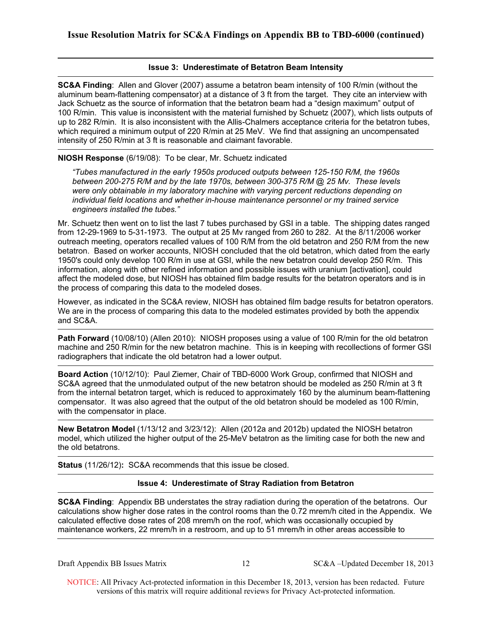### **Issue 3: Underestimate of Betatron Beam Intensity**

**SC&A Finding**: Allen and Glover (2007) assume a betatron beam intensity of 100 R/min (without the aluminum beam-flattening compensator) at a distance of 3 ft from the target. They cite an interview with Jack Schuetz as the source of information that the betatron beam had a "design maximum" output of 100 R/min. This value is inconsistent with the material furnished by Schuetz (2007), which lists outputs of up to 282 R/min. It is also inconsistent with the Allis-Chalmers acceptance criteria for the betatron tubes, which required a minimum output of 220 R/min at 25 MeV. We find that assigning an uncompensated intensity of 250 R/min at 3 ft is reasonable and claimant favorable.

### **NIOSH Response** (6/19/08): To be clear, Mr. Schuetz indicated

*"Tubes manufactured in the early 1950s produced outputs between 125-150 R/M, the 1960s between 200-275 R/M and by the late 1970s, between 300-375 R/M @ 25 Mv. These levels were only obtainable in my laboratory machine with varying percent reductions depending on individual field locations and whether in-house maintenance personnel or my trained service engineers installed the tubes."*

Mr. Schuetz then went on to list the last 7 tubes purchased by GSI in a table. The shipping dates ranged from 12-29-1969 to 5-31-1973. The output at 25 Mv ranged from 260 to 282. At the 8/11/2006 worker outreach meeting, operators recalled values of 100 R/M from the old betatron and 250 R/M from the new betatron. Based on worker accounts, NIOSH concluded that the old betatron, which dated from the early 1950's could only develop 100 R/m in use at GSI, while the new betatron could develop 250 R/m. This information, along with other refined information and possible issues with uranium [activation], could affect the modeled dose, but NIOSH has obtained film badge results for the betatron operators and is in the process of comparing this data to the modeled doses.

However, as indicated in the SC&A review, NIOSH has obtained film badge results for betatron operators. We are in the process of comparing this data to the modeled estimates provided by both the appendix and SC&A.

**Path Forward** (10/08/10) (Allen 2010): NIOSH proposes using a value of 100 R/min for the old betatron machine and 250 R/min for the new betatron machine. This is in keeping with recollections of former GSI radiographers that indicate the old betatron had a lower output.

**Board Action** (10/12/10): Paul Ziemer, Chair of TBD-6000 Work Group, confirmed that NIOSH and SC&A agreed that the unmodulated output of the new betatron should be modeled as 250 R/min at 3 ft from the internal betatron target, which is reduced to approximately 160 by the aluminum beam-flattening compensator. It was also agreed that the output of the old betatron should be modeled as 100 R/min, with the compensator in place.

**New Betatron Model** (1/13/12 and 3/23/12): Allen (2012a and 2012b) updated the NIOSH betatron model, which utilized the higher output of the 25-MeV betatron as the limiting case for both the new and the old betatrons.

**Status** (11/26/12)**:** SC&A recommends that this issue be closed.

### **Issue 4: Underestimate of Stray Radiation from Betatron**

**SC&A Finding**: Appendix BB understates the stray radiation during the operation of the betatrons. Our calculations show higher dose rates in the control rooms than the 0.72 mrem/h cited in the Appendix. We calculated effective dose rates of 208 mrem/h on the roof, which was occasionally occupied by maintenance workers, 22 mrem/h in a restroom, and up to 51 mrem/h in other areas accessible to

Draft Appendix BB Issues Matrix 12 SC&A –Updated December 18, 2013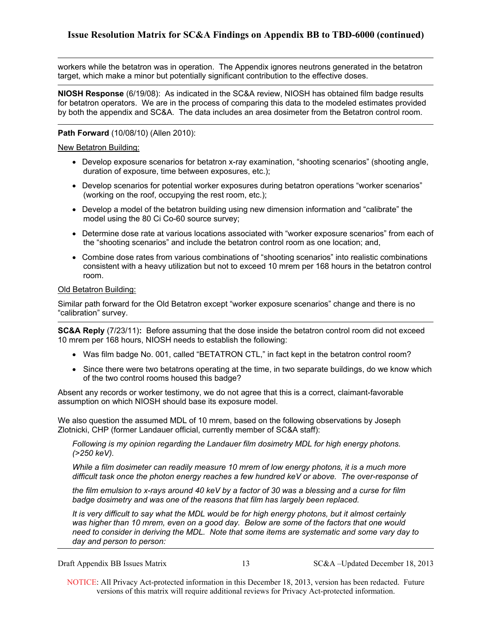workers while the betatron was in operation. The Appendix ignores neutrons generated in the betatron target, which make a minor but potentially significant contribution to the effective doses.

**NIOSH Response** (6/19/08): As indicated in the SC&A review, NIOSH has obtained film badge results for betatron operators. We are in the process of comparing this data to the modeled estimates provided by both the appendix and SC&A. The data includes an area dosimeter from the Betatron control room.

### **Path Forward** (10/08/10) (Allen 2010):

### New Betatron Building:

- duration of exposure, time between exposures, etc.); Develop exposure scenarios for betatron x-ray examination, "shooting scenarios" (shooting angle,
- (working on the roof, occupying the rest room, etc.); Develop scenarios for potential worker exposures during betatron operations "worker scenarios"
- Develop a model of the betatron building using new dimension information and "calibrate" the model using the 80 Ci Co-60 source survey;
- Determine dose rate at various locations associated with "worker exposure scenarios" from each of the "shooting scenarios" and include the betatron control room as one location; and,
- room. Combine dose rates from various combinations of "shooting scenarios" into realistic combinations consistent with a heavy utilization but not to exceed 10 mrem per 168 hours in the betatron control

### Old Betatron Building:

Similar path forward for the Old Betatron except "worker exposure scenarios" change and there is no "calibration" survey.

**SC&A Reply** (7/23/11)**:** Before assuming that the dose inside the betatron control room did not exceed 10 mrem per 168 hours, NIOSH needs to establish the following:

- Was film badge No. 001, called "BETATRON CTL," in fact kept in the betatron control room?
- Since there were two betatrons operating at the time, in two separate buildings, do we know which of the two control rooms housed this badge?

Absent any records or worker testimony, we do not agree that this is a correct, claimant-favorable assumption on which NIOSH should base its exposure model.

We also question the assumed MDL of 10 mrem, based on the following observations by Joseph Zlotnicki, CHP (former Landauer official, currently member of SC&A staff):

*Following is my opinion regarding the Landauer film dosimetry MDL for high energy photons. (>250 keV).* 

*While a film dosimeter can readily measure 10 mrem of low energy photons, it is a much more difficult task once the photon energy reaches a few hundred keV or above. The over-response of* 

*the film emulsion to x-rays around 40 keV by a factor of 30 was a blessing and a curse for film badge dosimetry and was one of the reasons that film has largely been replaced.* 

It is very difficult to say what the MDL would be for high energy photons, but it almost certainly *was higher than 10 mrem, even on a good day. Below are some of the factors that one would need to consider in deriving the MDL. Note that some items are systematic and some vary day to day and person to person:* 

Draft Appendix BB Issues Matrix 13 SC&A –Updated December 18, 2013

 NOTICE: All Privacy Act-protected information in this December 18, 2013, version has been redacted. Future versions of this matrix will require additional reviews for Privacy Act-protected information.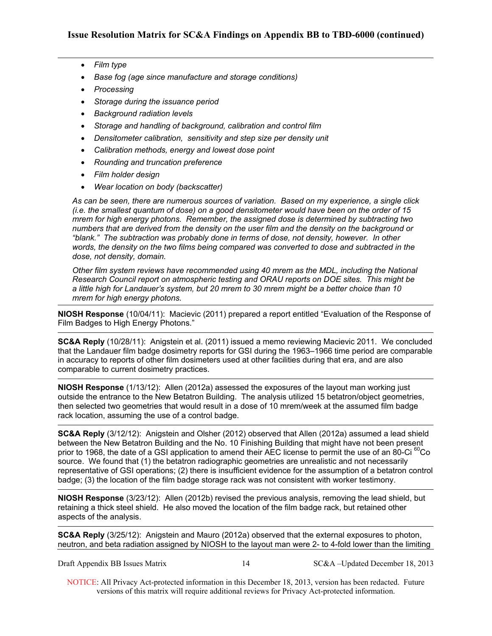- *Film type*
- *Base fog (age since manufacture and storage conditions)*
- *Processing*
- *Storage during the issuance period*
- *Background radiation levels*
- *Storage and handling of background, calibration and control film*
- **•** Densitometer calibration, sensitivity and step size per density unit
- *Calibration methods, energy and lowest dose point*
- *Rounding and truncation preference*
- *Film holder design*
- *Wear location on body (backscatter)*

*As can be seen, there are numerous sources of variation. Based on my experience, a single click (i.e. the smallest quantum of dose) on a good densitometer would have been on the order of 15 mrem for high energy photons. Remember, the assigned dose is determined by subtracting two numbers that are derived from the density on the user film and the density on the background or "blank." The subtraction was probably done in terms of dose, not density, however. In other words, the density on the two films being compared was converted to dose and subtracted in the dose, not density, domain.* 

*Other film system reviews have recommended using 40 mrem as the MDL, including the National Research Council report on atmospheric testing and ORAU reports on DOE sites. This might be a little high for Landauer's system, but 20 mrem to 30 mrem might be a better choice than 10 mrem for high energy photons.* 

**NIOSH Response** (10/04/11): Macievic (2011) prepared a report entitled "Evaluation of the Response of Film Badges to High Energy Photons."

**SC&A Reply** (10/28/11): Anigstein et al. (2011) issued a memo reviewing Macievic 2011. We concluded that the Landauer film badge dosimetry reports for GSI during the 1963–1966 time period are comparable in accuracy to reports of other film dosimeters used at other facilities during that era, and are also comparable to current dosimetry practices.

**NIOSH Response** (1/13/12): Allen (2012a) assessed the exposures of the layout man working just outside the entrance to the New Betatron Building. The analysis utilized 15 betatron/object geometries, then selected two geometries that would result in a dose of 10 mrem/week at the assumed film badge rack location, assuming the use of a control badge.

**SC&A Reply** (3/12/12): Anigstein and Olsher (2012) observed that Allen (2012a) assumed a lead shield between the New Betatron Building and the No. 10 Finishing Building that might have not been present prior to 1968, the date of a GSI application to amend their AEC license to permit the use of an 80-Ci <sup>60</sup>Co source. We found that (1) the betatron radiographic geometries are unrealistic and not necessarily representative of GSI operations; (2) there is insufficient evidence for the assumption of a betatron control badge; (3) the location of the film badge storage rack was not consistent with worker testimony.

**NIOSH Response** (3/23/12): Allen (2012b) revised the previous analysis, removing the lead shield, but retaining a thick steel shield. He also moved the location of the film badge rack, but retained other aspects of the analysis.

**SC&A Reply** (3/25/12): Anigstein and Mauro (2012a) observed that the external exposures to photon, neutron, and beta radiation assigned by NIOSH to the layout man were 2- to 4-fold lower than the limiting

14 SC&A –Updated December 18, 2013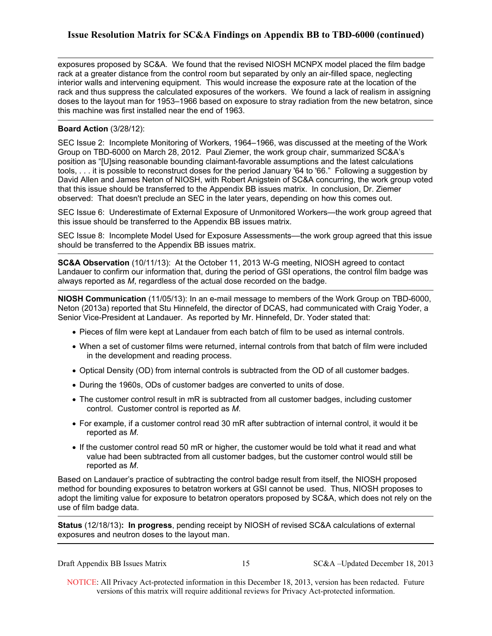exposures proposed by SC&A. We found that the revised NIOSH MCNPX model placed the film badge rack at a greater distance from the control room but separated by only an air-filled space, neglecting interior walls and intervening equipment. This would increase the exposure rate at the location of the rack and thus suppress the calculated exposures of the workers. We found a lack of realism in assigning doses to the layout man for 1953–1966 based on exposure to stray radiation from the new betatron, since this machine was first installed near the end of 1963.

### **Board Action** (3/28/12):

SEC Issue 2: Incomplete Monitoring of Workers, 1964–1966, was discussed at the meeting of the Work Group on TBD-6000 on March 28, 2012. Paul Ziemer, the work group chair, summarized SC&A's position as "[U]sing reasonable bounding claimant-favorable assumptions and the latest calculations tools, . . . it is possible to reconstruct doses for the period January '64 to '66." Following a suggestion by David Allen and James Neton of NIOSH, with Robert Anigstein of SC&A concurring, the work group voted that this issue should be transferred to the Appendix BB issues matrix. In conclusion, Dr. Ziemer observed: That doesn't preclude an SEC in the later years, depending on how this comes out.

SEC Issue 6: Underestimate of External Exposure of Unmonitored Workers—the work group agreed that this issue should be transferred to the Appendix BB issues matrix.

SEC Issue 8: Incomplete Model Used for Exposure Assessments––the work group agreed that this issue should be transferred to the Appendix BB issues matrix.

**SC&A Observation** (10/11/13): At the October 11, 2013 W-G meeting, NIOSH agreed to contact Landauer to confirm our information that, during the period of GSI operations, the control film badge was always reported as *M*, regardless of the actual dose recorded on the badge.

**NIOSH Communication** (11/05/13): In an e-mail message to members of the Work Group on TBD-6000, Neton (2013a) reported that Stu Hinnefeld, the director of DCAS, had communicated with Craig Yoder, a Senior Vice-President at Landauer. As reported by Mr. Hinnefeld, Dr. Yoder stated that:

- Pieces of film were kept at Landauer from each batch of film to be used as internal controls.
- When a set of customer films were returned, internal controls from that batch of film were included in the development and reading process.
- Optical Density (OD) from internal controls is subtracted from the OD of all customer badges.
- During the 1960s, ODs of customer badges are converted to units of dose.
- The customer control result in mR is subtracted from all customer badges, including customer control. Customer control is reported as *M*.
- For example, if a customer control read 30 mR after subtraction of internal control, it would it be reported as *M*.
- If the customer control read 50 mR or higher, the customer would be told what it read and what value had been subtracted from all customer badges, but the customer control would still be reported as *M*.

Based on Landauer's practice of subtracting the control badge result from itself, the NIOSH proposed method for bounding exposures to betatron workers at GSI cannot be used. Thus, NIOSH proposes to adopt the limiting value for exposure to betatron operators proposed by SC&A, which does not rely on the use of film badge data.

 **Status** (12/18/13)**: In progress**, pending receipt by NIOSH of revised SC&A calculations of external exposures and neutron doses to the layout man.

Draft Appendix BB Issues Matrix 15 SC&A –Updated December 18, 2013

 NOTICE: All Privacy Act-protected information in this December 18, 2013, version has been redacted. Future versions of this matrix will require additional reviews for Privacy Act-protected information.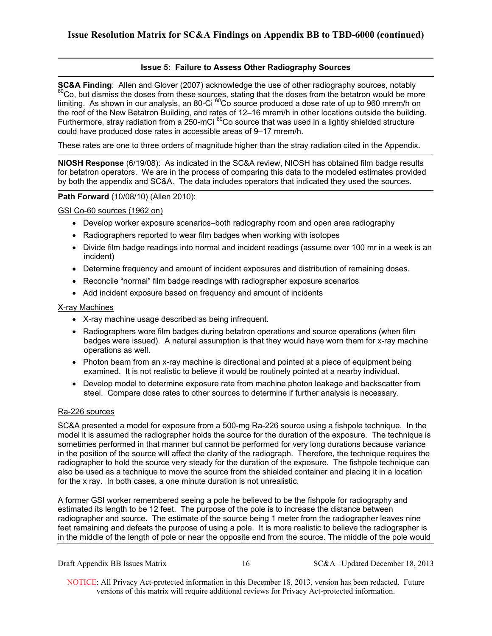### **Issue 5: Failure to Assess Other Radiography Sources**

**SC&A Finding**: Allen and Glover (2007) acknowledge the use of other radiography sources, notably 60Co, but dismiss the doses from these sources, stating that the doses from the betatron would be more limiting. As shown in our analysis, an 80-Ci <sup>60</sup>Co source produced a dose rate of up to 960 mrem/h on the roof of the New Betatron Building, and rates of 12–16 mrem/h in other locations outside the building. Furthermore, stray radiation from a 250-mCi <sup>60</sup>Co source that was used in a lightly shielded structure could have produced dose rates in accessible areas of 9–17 mrem/h.

These rates are one to three orders of magnitude higher than the stray radiation cited in the Appendix.

**NIOSH Response** (6/19/08): As indicated in the SC&A review, NIOSH has obtained film badge results for betatron operators. We are in the process of comparing this data to the modeled estimates provided by both the appendix and SC&A. The data includes operators that indicated they used the sources.

### **Path Forward** (10/08/10) (Allen 2010):

GSI Co-60 sources (1962 on)

- Develop worker exposure scenarios–both radiography room and open area radiography
- Radiographers reported to wear film badges when working with isotopes
- Divide film badge readings into normal and incident readings (assume over 100 mr in a week is an incident)
- Determine frequency and amount of incident exposures and distribution of remaining doses.
- Reconcile "normal" film badge readings with radiographer exposure scenarios
- Add incident exposure based on frequency and amount of incidents

### X-ray Machines

- X-ray machine usage described as being infrequent.
- Radiographers wore film badges during betatron operations and source operations (when film badges were issued). A natural assumption is that they would have worn them for x-ray machine operations as well.
- examined. It is not realistic to believe it would be routinely pointed at a nearby individual. • Photon beam from an x-ray machine is directional and pointed at a piece of equipment being
- steel. Compare dose rates to other sources to determine if further analysis is necessary.<br>Ra-226 sources • Develop model to determine exposure rate from machine photon leakage and backscatter from

SC&A presented a model for exposure from a 500-mg Ra-226 source using a fishpole technique. In the model it is assumed the radiographer holds the source for the duration of the exposure. The technique is sometimes performed in that manner but cannot be performed for very long durations because variance in the position of the source will affect the clarity of the radiograph. Therefore, the technique requires the radiographer to hold the source very steady for the duration of the exposure. The fishpole technique can also be used as a technique to move the source from the shielded container and placing it in a location for the x ray. In both cases, a one minute duration is not unrealistic.

A former GSI worker remembered seeing a pole he believed to be the fishpole for radiography and estimated its length to be 12 feet. The purpose of the pole is to increase the distance between radiographer and source. The estimate of the source being 1 meter from the radiographer leaves nine feet remaining and defeats the purpose of using a pole. It is more realistic to believe the radiographer is in the middle of the length of pole or near the opposite end from the source. The middle of the pole would

Draft Appendix BB Issues Matrix 16 SC&A –Updated December 18, 2013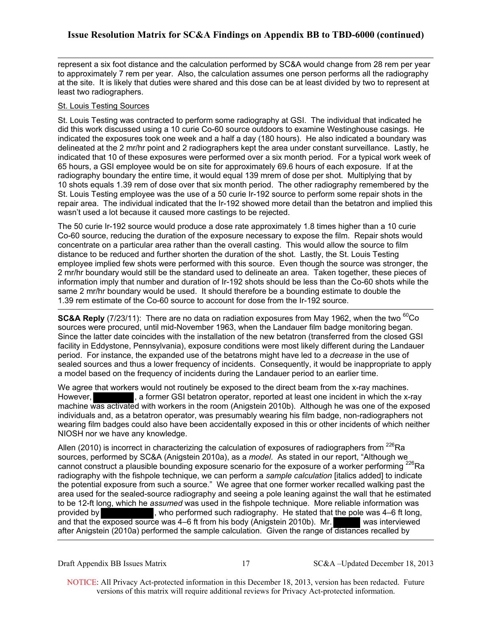represent a six foot distance and the calculation performed by SC&A would change from 28 rem per year to approximately 7 rem per year. Also, the calculation assumes one person performs all the radiography at the site. It is likely that duties were shared and this dose can be at least divided by two to represent at least two radiographers.

### St. Louis Testing Sources

St. Louis Testing was contracted to perform some radiography at GSI. The individual that indicated he did this work discussed using a 10 curie Co-60 source outdoors to examine Westinghouse casings. He indicated the exposures took one week and a half a day (180 hours). He also indicated a boundary was delineated at the 2 mr/hr point and 2 radiographers kept the area under constant surveillance. Lastly, he indicated that 10 of these exposures were performed over a six month period. For a typical work week of 65 hours, a GSI employee would be on site for approximately 69.6 hours of each exposure. If at the radiography boundary the entire time, it would equal 139 mrem of dose per shot. Multiplying that by 10 shots equals 1.39 rem of dose over that six month period. The other radiography remembered by the St. Louis Testing employee was the use of a 50 curie Ir-192 source to perform some repair shots in the repair area. The individual indicated that the Ir-192 showed more detail than the betatron and implied this wasn't used a lot because it caused more castings to be rejected.

The 50 curie Ir-192 source would produce a dose rate approximately 1.8 times higher than a 10 curie Co-60 source, reducing the duration of the exposure necessary to expose the film. Repair shots would concentrate on a particular area rather than the overall casting. This would allow the source to film distance to be reduced and further shorten the duration of the shot. Lastly, the St. Louis Testing employee implied few shots were performed with this source. Even though the source was stronger, the 2 mr/hr boundary would still be the standard used to delineate an area. Taken together, these pieces of information imply that number and duration of Ir-192 shots should be less than the Co-60 shots while the same 2 mr/hr boundary would be used. It should therefore be a bounding estimate to double the 1.39 rem estimate of the Co-60 source to account for dose from the Ir-192 source.

**SC&A Reply** (7/23/11): There are no data on radiation exposures from May 1962, when the two <sup>60</sup>Co sources were procured, until mid-November 1963, when the Landauer film badge monitoring began. Since the latter date coincides with the installation of the new betatron (transferred from the closed GSI facility in Eddystone, Pennsylvania), exposure conditions were most likely different during the Landauer period. For instance, the expanded use of the betatrons might have led to a *decrease* in the use of sealed sources and thus a lower frequency of incidents. Consequently, it would be inappropriate to apply a model based on the frequency of incidents during the Landauer period to an earlier time.

We agree that workers would not routinely be exposed to the direct beam from the x-ray machines. However, a former GSI betatron operator, reported at least one incident in which the x-ray machine was activated with workers in the room (Anigstein 2010b). Although he was one of the exposed individuals and, as a betatron operator, was presumably wearing his film badge, non-radiographers not wearing film badges could also have been accidentally exposed in this or other incidents of which neither NIOSH nor we have any knowledge.

Allen (2010) is incorrect in characterizing the calculation of exposures of radiographers from  $^{226}$ Ra sources, performed by SC&A (Anigstein 2010a), as a *model*. As stated in our report, "Although we cannot construct a plausible bounding exposure scenario for the exposure of a worker performing  $^{226}$ Ra radiography with the fishpole technique, we can perform a *sample calculation* [italics added] to indicate the potential exposure from such a source." We agree that one former worker recalled walking past the area used for the sealed-source radiography and seeing a pole leaning against the wall that he estimated to be 12-ft long, which he *assumed* was used in the fishpole technique. More reliable information was provided by , who performed such radiography. He stated that the pole was 4–6 ft long, and that the exposed source was 4–6 ft from his body (Anigstein 2010b). Mr. was interviewed after Anigstein (2010a) performed the sample calculation. Given the range of distances recalled by

Draft Appendix BB Issues Matrix 17 SC&A –Updated December 18, 2013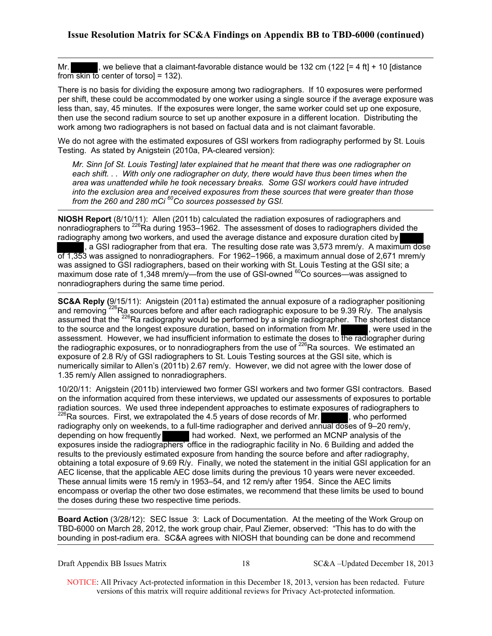Mr.  $\blacksquare$ , we believe that a claimant-favorable distance would be 132 cm (122 [= 4 ft] + 10 [distance from skin to center of torsol =  $132$ ).

There is no basis for dividing the exposure among two radiographers. If 10 exposures were performed per shift, these could be accommodated by one worker using a single source if the average exposure was less than, say, 45 minutes. If the exposures were longer, the same worker could set up one exposure, then use the second radium source to set up another exposure in a different location. Distributing the work among two radiographers is not based on factual data and is not claimant favorable.

We do not agree with the estimated exposures of GSI workers from radiography performed by St. Louis Testing. As stated by Anigstein (2010a, PA-cleared version):

 *from the 260 and 280 mCi 60Co sources possessed by GSI. Mr. Sinn [of St. Louis Testing] later explained that he meant that there was one radiographer on each shift. . . With only one radiographer on duty, there would have thus been times when the area was unattended while he took necessary breaks. Some GSI workers could have intruded into the exclusion area and received exposures from these sources that were greater than those* 

**NIOSH Report** (8/10/11): Allen (2011b) calculated the radiation exposures of radiographers and nonradiographers to <sup>226</sup>Ra during 1953–1962. The assessment of doses to radiographers divided the radiography among two workers, and used the average distance and exposure duration cited by , a GSI radiographer from that era. The resulting dose rate was 3,573 mrem/y. A maximum dose  $\overline{0}$  1,353 was assigned to nonradiographers. For 1962–1966, a maximum annual dose of 2,671 mrem/y was assigned to GSI radiographers, based on their working with St. Louis Testing at the GSI site; a maximum dose rate of 1,348 mrem/y—from the use of GSI-owned  $^{60}$ Co sources—was assigned to nonradiographers during the same time period.

**SC&A Reply (**9/15/11): Anigstein (2011a) estimated the annual exposure of a radiographer positioning and removing <sup>226</sup>Ra sources before and after each radiographic exposure to be 9.39 R/y. The analysis assumed that the  $^{226}$ Ra radiography would be performed by a single radiographer. The shortest distance to the source and the longest exposure duration, based on information from Mr. , were used in the assessment. However, we had insufficient information to estimate the doses to the radiographer during the radiographic exposures, or to nonradiographers from the use of <sup>226</sup>Ra sources. We estimated an exposure of 2.8 R/y of GSI radiographers to St. Louis Testing sources at the GSI site, which is numerically similar to Allen's (2011b) 2.67 rem/y. However, we did not agree with the lower dose of 1.35 rem/y Allen assigned to nonradiographers.

10/20/11: Anigstein (2011b) interviewed two former GSI workers and two former GSI contractors. Based on the information acquired from these interviews, we updated our assessments of exposures to portable radiation sources. We used three independent approaches to estimate exposures of radiographers to portal<br><sup>226</sup>Ra sources. First, we extrapolated the 4.5 years of dose records of Mr. , who performed radiography only on weekends, to a full-time radiographer and derived annual doses of 9–20 rem/y, depending on how frequently had worked. Next, we performed an MCNP analysis of the exposures inside the radiographers' office in the radiographic facility in No. 6 Building and added the results to the previously estimated exposure from handing the source before and after radiography, obtaining a total exposure of 9.69 R/y. Finally, we noted the statement in the initial GSI application for an AEC license, that the applicable AEC dose limits during the previous 10 years were never exceeded. These annual limits were 15 rem/y in 1953–54, and 12 rem/y after 1954. Since the AEC limits encompass or overlap the other two dose estimates, we recommend that these limits be used to bound the doses during these two respective time periods.

**Board Action** (3/28/12): SEC Issue 3: Lack of Documentation. At the meeting of the Work Group on TBD-6000 on March 28, 2012, the work group chair, Paul Ziemer, observed: "This has to do with the bounding in post-radium era. SC&A agrees with NIOSH that bounding can be done and recommend

Draft Appendix BB Issues Matrix 18 SC&A –Updated December 18, 2013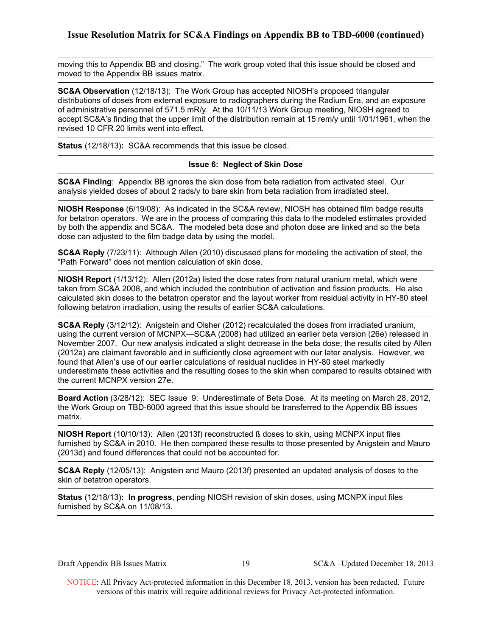moving this to Appendix BB and closing." The work group voted that this issue should be closed and moved to the Appendix BB issues matrix.

**SC&A Observation** (12/18/13): The Work Group has accepted NIOSH's proposed triangular distributions of doses from external exposure to radiographers during the Radium Era, and an exposure of administrative personnel of 571.5 mR/y. At the 10/11/13 Work Group meeting, NIOSH agreed to accept SC&A's finding that the upper limit of the distribution remain at 15 rem/y until 1/01/1961, when the revised 10 CFR 20 limits went into effect.

**Status** (12/18/13)**:** SC&A recommends that this issue be closed.

### **Issue 6: Neglect of Skin Dose**

**SC&A Finding**: Appendix BB ignores the skin dose from beta radiation from activated steel. Our analysis yielded doses of about 2 rads/y to bare skin from beta radiation from irradiated steel.

**NIOSH Response** (6/19/08): As indicated in the SC&A review, NIOSH has obtained film badge results for betatron operators. We are in the process of comparing this data to the modeled estimates provided by both the appendix and SC&A. The modeled beta dose and photon dose are linked and so the beta dose can adjusted to the film badge data by using the model.

**SC&A Reply** (7/23/11): Although Allen (2010) discussed plans for modeling the activation of steel, the "Path Forward" does not mention calculation of skin dose.

**NIOSH Report** (1/13/12): Allen (2012a) listed the dose rates from natural uranium metal, which were taken from SC&A 2008, and which included the contribution of activation and fission products. He also calculated skin doses to the betatron operator and the layout worker from residual activity in HY-80 steel following betatron irradiation, using the results of earlier SC&A calculations.

**SC&A Reply** (3/12/12): Anigstein and Olsher (2012) recalculated the doses from irradiated uranium, using the current version of MCNPX—SC&A (2008) had utilized an earlier beta version (26e) released in November 2007. Our new analysis indicated a slight decrease in the beta dose; the results cited by Allen (2012a) are claimant favorable and in sufficiently close agreement with our later analysis. However, we found that Allen's use of our earlier calculations of residual nuclides in HY-80 steel markedly underestimate these activities and the resulting doses to the skin when compared to results obtained with the current MCNPX version 27e.

**Board Action** (3/28/12): SEC Issue 9: Underestimate of Beta Dose. At its meeting on March 28, 2012, the Work Group on TBD-6000 agreed that this issue should be transferred to the Appendix BB issues matrix.

**NIOSH Report** (10**/**10/13): Allen (2013f) reconstructed ß doses to skin, using MCNPX input files furnished by SC&A in 2010. He then compared these results to those presented by Anigstein and Mauro (2013d) and found differences that could not be accounted for.

**SC&A Reply** (12/05/13): Anigstein and Mauro (2013f) presented an updated analysis of doses to the skin of betatron operators.

 **Status** (12/18/13)**: In progress**, pending NIOSH revision of skin doses, using MCNPX input files furnished by SC&A on 11/08/13.

Draft Appendix BB Issues Matrix 19 SC&A –Updated December 18, 2013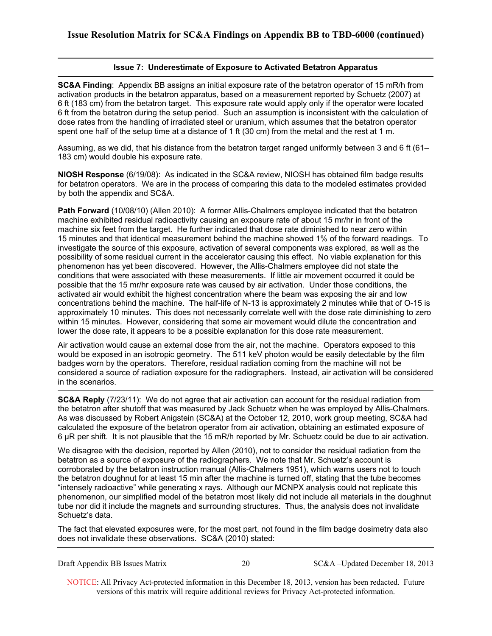### **Issue 7: Underestimate of Exposure to Activated Betatron Apparatus**

**SC&A Finding**: Appendix BB assigns an initial exposure rate of the betatron operator of 15 mR/h from activation products in the betatron apparatus, based on a measurement reported by Schuetz (2007) at 6 ft (183 cm) from the betatron target. This exposure rate would apply only if the operator were located 6 ft from the betatron during the setup period. Such an assumption is inconsistent with the calculation of dose rates from the handling of irradiated steel or uranium, which assumes that the betatron operator spent one half of the setup time at a distance of 1 ft (30 cm) from the metal and the rest at 1 m.

Assuming, as we did, that his distance from the betatron target ranged uniformly between 3 and 6 ft (61– 183 cm) would double his exposure rate.

**NIOSH Response** (6/19/08): As indicated in the SC&A review, NIOSH has obtained film badge results for betatron operators. We are in the process of comparing this data to the modeled estimates provided by both the appendix and SC&A.

**Path Forward** (10/08/10) (Allen 2010): A former Allis-Chalmers employee indicated that the betatron machine exhibited residual radioactivity causing an exposure rate of about 15 mr/hr in front of the machine six feet from the target. He further indicated that dose rate diminished to near zero within 15 minutes and that identical measurement behind the machine showed 1% of the forward readings. To investigate the source of this exposure, activation of several components was explored, as well as the possibility of some residual current in the accelerator causing this effect. No viable explanation for this phenomenon has yet been discovered. However, the Allis-Chalmers employee did not state the conditions that were associated with these measurements. If little air movement occurred it could be possible that the 15 mr/hr exposure rate was caused by air activation. Under those conditions, the activated air would exhibit the highest concentration where the beam was exposing the air and low concentrations behind the machine. The half-life of N-13 is approximately 2 minutes while that of O-15 is approximately 10 minutes. This does not necessarily correlate well with the dose rate diminishing to zero within 15 minutes. However, considering that some air movement would dilute the concentration and lower the dose rate, it appears to be a possible explanation for this dose rate measurement.

Air activation would cause an external dose from the air, not the machine. Operators exposed to this would be exposed in an isotropic geometry. The 511 keV photon would be easily detectable by the film badges worn by the operators. Therefore, residual radiation coming from the machine will not be considered a source of radiation exposure for the radiographers. Instead, air activation will be considered in the scenarios.

the betatron after shutoff that was measured by Jack Schuetz when he was employed by Allis-Chalmers. **SC&A Reply** (7/23/11): We do not agree that air activation can account for the residual radiation from As was discussed by Robert Anigstein (SC&A) at the October 12, 2010, work group meeting, SC&A had calculated the exposure of the betatron operator from air activation, obtaining an estimated exposure of 6 µR per shift. It is not plausible that the 15 mR/h reported by Mr. Schuetz could be due to air activation.

We disagree with the decision, reported by Allen (2010), not to consider the residual radiation from the betatron as a source of exposure of the radiographers. We note that Mr. Schuetz's account is corroborated by the betatron instruction manual (Allis-Chalmers 1951), which warns users not to touch the betatron doughnut for at least 15 min after the machine is turned off, stating that the tube becomes "intensely radioactive" while generating x rays. Although our MCNPX analysis could not replicate this phenomenon, our simplified model of the betatron most likely did not include all materials in the doughnut tube nor did it include the magnets and surrounding structures. Thus, the analysis does not invalidate Schuetz's data.

The fact that elevated exposures were, for the most part, not found in the film badge dosimetry data also does not invalidate these observations. SC&A (2010) stated:

20 SC&A –Updated December 18, 2013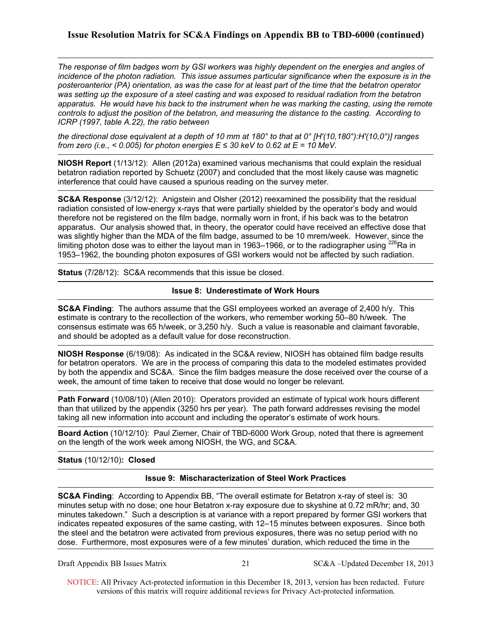*The response of film badges worn by GSI workers was highly dependent on the energies and angles of incidence of the photon radiation. This issue assumes particular significance when the exposure is in the posteroanterior (PA) orientation, as was the case for at least part of the time that the betatron operator was setting up the exposure of a steel casting and was exposed to residual radiation from the betatron apparatus. He would have his back to the instrument when he was marking the casting, using the remote controls to adjust the position of the betatron, and measuring the distance to the casting. According to ICRP (1997, table A.22), the ratio between* 

*the directional dose equivalent at a depth of 10 mm at 180° to that at 0° [H'(10,180°):H'(10,0°)] ranges from zero (i.e., < 0.005) for photon energies*  $E \le 30$  *keV to 0.62 at*  $E = 10$  *MeV.* 

**NIOSH Report** (1/13/12): Allen (2012a) examined various mechanisms that could explain the residual betatron radiation reported by Schuetz (2007) and concluded that the most likely cause was magnetic interference that could have caused a spurious reading on the survey meter.

**SC&A Response** (3/12/12): Anigstein and Olsher (2012) reexamined the possibility that the residual radiation consisted of low-energy x-rays that were partially shielded by the operator's body and would therefore not be registered on the film badge, normally worn in front, if his back was to the betatron apparatus. Our analysis showed that, in theory, the operator could have received an effective dose that was slightly higher than the MDA of the film badge, assumed to be 10 mrem/week. However, since the limiting photon dose was to either the layout man in 1963–1966, or to the radiographer using  $^{226}$ Ra in 1953–1962, the bounding photon exposures of GSI workers would not be affected by such radiation.

**Status** (7/28/12): SC&A recommends that this issue be closed.

### **Issue 8: Underestimate of Work Hours**

**SC&A Finding**: The authors assume that the GSI employees worked an average of 2,400 h/y. This estimate is contrary to the recollection of the workers, who remember working 50–80 h/week. The consensus estimate was 65 h/week, or 3,250 h/y. Such a value is reasonable and claimant favorable, and should be adopted as a default value for dose reconstruction.

**NIOSH Response** (6/19/08): As indicated in the SC&A review, NIOSH has obtained film badge results for betatron operators. We are in the process of comparing this data to the modeled estimates provided by both the appendix and SC&A. Since the film badges measure the dose received over the course of a week, the amount of time taken to receive that dose would no longer be relevant.

**Path Forward** (10/08/10) (Allen 2010): Operators provided an estimate of typical work hours different than that utilized by the appendix (3250 hrs per year). The path forward addresses revising the model taking all new information into account and including the operator's estimate of work hours.

**Board Action** (10/12/10): Paul Ziemer, Chair of TBD-6000 Work Group, noted that there is agreement on the length of the work week among NIOSH, the WG, and SC&A.

### **Status** (10/12/10)**: Closed**

### **Issue 9: Mischaracterization of Steel Work Practices**

**SC&A Finding**: According to Appendix BB, "The overall estimate for Betatron x-ray of steel is: 30 minutes setup with no dose; one hour Betatron x-ray exposure due to skyshine at 0.72 mR/hr; and, 30 minutes takedown." Such a description is at variance with a report prepared by former GSI workers that indicates repeated exposures of the same casting, with 12–15 minutes between exposures. Since both the steel and the betatron were activated from previous exposures, there was no setup period with no dose. Furthermore, most exposures were of a few minutes' duration, which reduced the time in the

Draft Appendix BB Issues Matrix 21 SC&A –Updated December 18, 2013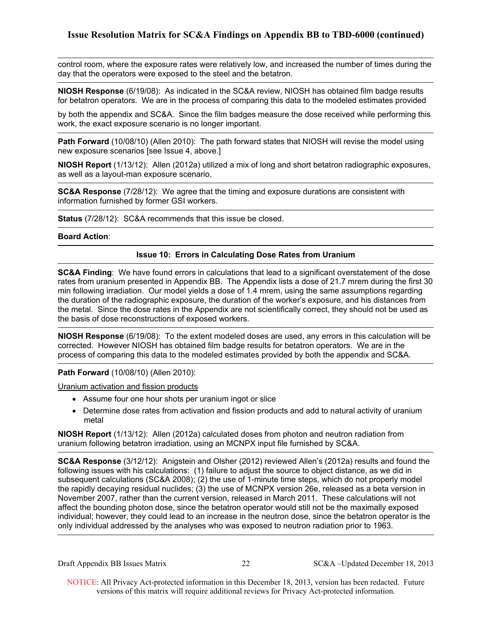control room, where the exposure rates were relatively low, and increased the number of times during the day that the operators were exposed to the steel and the betatron.

**NIOSH Response** (6/19/08): As indicated in the SC&A review, NIOSH has obtained film badge results for betatron operators. We are in the process of comparing this data to the modeled estimates provided

by both the appendix and SC&A. Since the film badges measure the dose received while performing this work, the exact exposure scenario is no longer important.

**Path Forward** (10/08/10) (Allen 2010): The path forward states that NIOSH will revise the model using new exposure scenarios [see Issue 4, above.]

**NIOSH Report** (1/13/12): Allen (2012a) utilized a mix of long and short betatron radiographic exposures, as well as a layout-man exposure scenario.

**SC&A Response** (7/28/12): We agree that the timing and exposure durations are consistent with information furnished by former GSI workers.

**Status** (7/28/12): SC&A recommends that this issue be closed.

### **Board Action**:

### **Issue 10: Errors in Calculating Dose Rates from Uranium**

**SC&A Finding**: We have found errors in calculations that lead to a significant overstatement of the dose rates from uranium presented in Appendix BB. The Appendix lists a dose of 21.7 mrem during the first 30 min following irradiation. Our model yields a dose of 1.4 mrem, using the same assumptions regarding the duration of the radiographic exposure, the duration of the worker's exposure, and his distances from the metal. Since the dose rates in the Appendix are not scientifically correct, they should not be used as the basis of dose reconstructions of exposed workers.

**NIOSH Response** (6/19/08): To the extent modeled doses are used, any errors in this calculation will be corrected. However NIOSH has obtained film badge results for betatron operators. We are in the process of comparing this data to the modeled estimates provided by both the appendix and SC&A.

### **Path Forward** (10/08/10) (Allen 2010):

Uranium activation and fission products

- Assume four one hour shots per uranium ingot or slice
- Determine dose rates from activation and fission products and add to natural activity of uranium metal

**NIOSH Report** (1/13/12): Allen (2012a) calculated doses from photon and neutron radiation from uranium following betatron irradiation, using an MCNPX input file furnished by SC&A.

**SC&A Response** (3/12/12): Anigstein and Olsher (2012) reviewed Allen's (2012a) results and found the following issues with his calculations: (1) failure to adjust the source to object distance, as we did in subsequent calculations (SC&A 2008); (2) the use of 1-minute time steps, which do not properly model the rapidly decaying residual nuclides; (3) the use of MCNPX version 26e, released as a beta version in November 2007, rather than the current version, released in March 2011. These calculations will not affect the bounding photon dose, since the betatron operator would still not be the maximally exposed individual; however, they could lead to an increase in the neutron dose, since the betatron operator is the only individual addressed by the analyses who was exposed to neutron radiation prior to 1963.

Draft Appendix BB Issues Matrix 22 SC&A –Updated December 18, 2013

 NOTICE: All Privacy Act-protected information in this December 18, 2013, version has been redacted. Future versions of this matrix will require additional reviews for Privacy Act-protected information.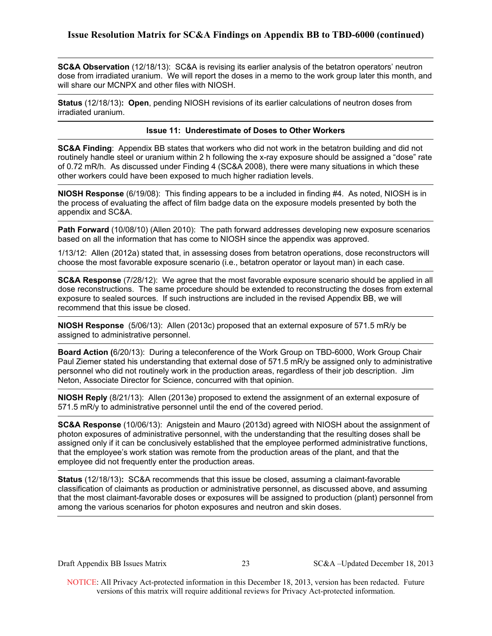**SC&A Observation** (12/18/13): SC&A is revising its earlier analysis of the betatron operators' neutron dose from irradiated uranium. We will report the doses in a memo to the work group later this month, and will share our MCNPX and other files with NIOSH.

 **Status** (12/18/13)**: Open**, pending NIOSH revisions of its earlier calculations of neutron doses from irradiated uranium.

### **Issue 11: Underestimate of Doses to Other Workers**

**SC&A Finding**: Appendix BB states that workers who did not work in the betatron building and did not routinely handle steel or uranium within 2 h following the x-ray exposure should be assigned a "dose" rate of 0.72 mR/h. As discussed under Finding 4 (SC&A 2008), there were many situations in which these other workers could have been exposed to much higher radiation levels.

**NIOSH Response** (6/19/08): This finding appears to be a included in finding #4. As noted, NIOSH is in the process of evaluating the affect of film badge data on the exposure models presented by both the appendix and SC&A.

**Path Forward** (10/08/10) (Allen 2010): The path forward addresses developing new exposure scenarios based on all the information that has come to NIOSH since the appendix was approved.

1/13/12: Allen (2012a) stated that, in assessing doses from betatron operations, dose reconstructors will choose the most favorable exposure scenario (i.e., betatron operator or layout man) in each case.

**SC&A Response** (7/28/12): We agree that the most favorable exposure scenario should be applied in all dose reconstructions. The same procedure should be extended to reconstructing the doses from external exposure to sealed sources. If such instructions are included in the revised Appendix BB, we will recommend that this issue be closed.

**NIOSH Response** (5/06/13): Allen (2013c) proposed that an external exposure of 571.5 mR/y be assigned to administrative personnel.

**Board Action (**6/20/13): During a teleconference of the Work Group on TBD-6000, Work Group Chair Paul Ziemer stated his understanding that external dose of 571.5 mR/y be assigned only to administrative personnel who did not routinely work in the production areas, regardless of their job description. Jim Neton, Associate Director for Science, concurred with that opinion.

**NIOSH Reply** (8/21/13): Allen (2013e) proposed to extend the assignment of an external exposure of 571.5 mR/y to administrative personnel until the end of the covered period.

**SC&A Response** (10/06/13): Anigstein and Mauro (2013d) agreed with NIOSH about the assignment of photon exposures of administrative personnel, with the understanding that the resulting doses shall be assigned only if it can be conclusively established that the employee performed administrative functions, that the employee's work station was remote from the production areas of the plant, and that the employee did not frequently enter the production areas.

**Status** (12/18/13)**:** SC&A recommends that this issue be closed, assuming a claimant-favorable classification of claimants as production or administrative personnel, as discussed above, and assuming that the most claimant-favorable doses or exposures will be assigned to production (plant) personnel from among the various scenarios for photon exposures and neutron and skin doses.

Draft Appendix BB Issues Matrix 23 SC&A –Updated December 18, 2013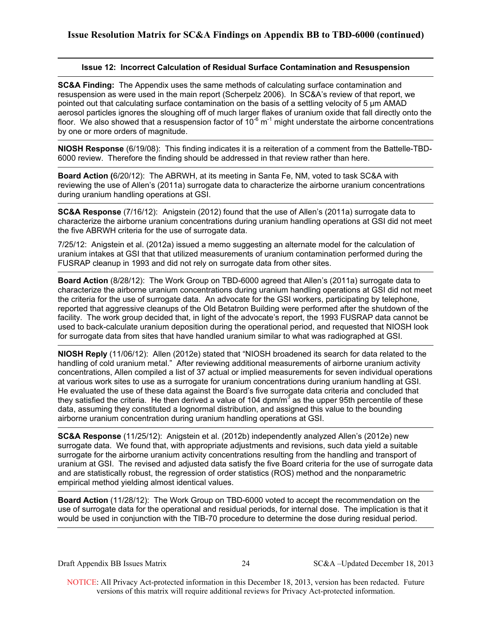### **Issue 12: Incorrect Calculation of Residual Surface Contamination and Resuspension**

**SC&A Finding:** The Appendix uses the same methods of calculating surface contamination and resuspension as were used in the main report (Scherpelz 2006). In SC&A's review of that report, we pointed out that calculating surface contamination on the basis of a settling velocity of 5 μm AMAD aerosol particles ignores the sloughing off of much larger flakes of uranium oxide that fall directly onto the floor. We also showed that a resuspension factor of  $10^{-6}$  m<sup>-1</sup> might understate the airborne concentrations by one or more orders of magnitude.

**NIOSH Response** (6/19/08): This finding indicates it is a reiteration of a comment from the Battelle-TBD-6000 review. Therefore the finding should be addressed in that review rather than here.

**Board Action (**6/20/12): The ABRWH, at its meeting in Santa Fe, NM, voted to task SC&A with reviewing the use of Allen's (2011a) surrogate data to characterize the airborne uranium concentrations during uranium handling operations at GSI.

 **SC&A Response** (7/16/12): Anigstein (2012) found that the use of Allen's (2011a) surrogate data to characterize the airborne uranium concentrations during uranium handling operations at GSI did not meet the five ABRWH criteria for the use of surrogate data.

7/25/12: Anigstein et al. (2012a) issued a memo suggesting an alternate model for the calculation of uranium intakes at GSI that that utilized measurements of uranium contamination performed during the FUSRAP cleanup in 1993 and did not rely on surrogate data from other sites.

**Board Action** (8/28/12): The Work Group on TBD-6000 agreed that Allen's (2011a) surrogate data to characterize the airborne uranium concentrations during uranium handling operations at GSI did not meet the criteria for the use of surrogate data. An advocate for the GSI workers, participating by telephone, reported that aggressive cleanups of the Old Betatron Building were performed after the shutdown of the facility. The work group decided that, in light of the advocate's report, the 1993 FUSRAP data cannot be used to back-calculate uranium deposition during the operational period, and requested that NIOSH look for surrogate data from sites that have handled uranium similar to what was radiographed at GSI.

**NIOSH Reply** (11/06/12): Allen (2012e) stated that "NIOSH broadened its search for data related to the handling of cold uranium metal." After reviewing additional measurements of airborne uranium activity concentrations, Allen compiled a list of 37 actual or implied measurements for seven individual operations at various work sites to use as a surrogate for uranium concentrations during uranium handling at GSI. He evaluated the use of these data against the Board's five surrogate data criteria and concluded that they satisfied the criteria. He then derived a value of 104 dpm/ $m<sup>3</sup>$  as the upper 95th percentile of these data, assuming they constituted a lognormal distribution, and assigned this value to the bounding airborne uranium concentration during uranium handling operations at GSI.

**SC&A Response** (11/25/12): Anigstein et al. (2012b) independently analyzed Allen's (2012e) new surrogate data. We found that, with appropriate adjustments and revisions, such data yield a suitable surrogate for the airborne uranium activity concentrations resulting from the handling and transport of uranium at GSI. The revised and adjusted data satisfy the five Board criteria for the use of surrogate data and are statistically robust, the regression of order statistics (ROS) method and the nonparametric empirical method yielding almost identical values.

**Board Action** (11/28/12): The Work Group on TBD-6000 voted to accept the recommendation on the use of surrogate data for the operational and residual periods, for internal dose. The implication is that it would be used in conjunction with the TIB-70 procedure to determine the dose during residual period.

Draft Appendix BB Issues Matrix 24 SC&A –Updated December 18, 2013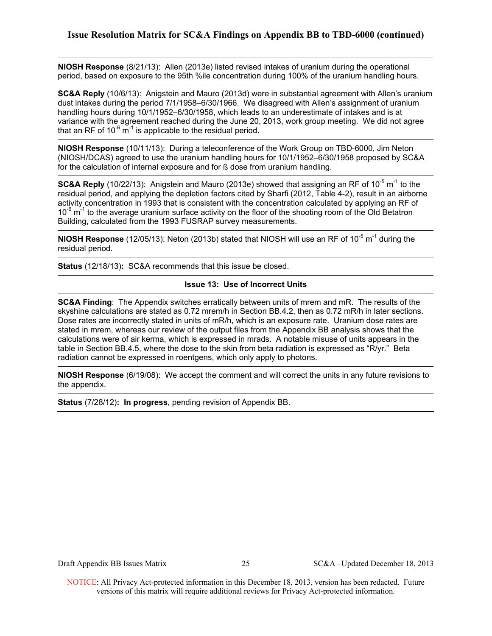**NIOSH Response** (8/21/13): Allen (2013e) listed revised intakes of uranium during the operational period, based on exposure to the 95th %ile concentration during 100% of the uranium handling hours.

**SC&A Reply** (10/6/13): Anigstein and Mauro (2013d) were in substantial agreement with Allen's uranium dust intakes during the period 7/1/1958–6/30/1966. We disagreed with Allen's assignment of uranium handling hours during 10/1/1952–6/30/1958, which leads to an underestimate of intakes and is at variance with the agreement reached during the June 20, 2013, work group meeting. We did not agree that an RF of  $10^{-6}$  m<sup>-1</sup> is applicable to the residual period.

**NIOSH Response** (10/11/13): During a teleconference of the Work Group on TBD-6000, Jim Neton (NIOSH/DCAS) agreed to use the uranium handling hours for 10/1/1952–6/30/1958 proposed by SC&A for the calculation of internal exposure and for ß dose from uranium handling.

**SC&A Reply** (10/22/13): Anigstein and Mauro (2013e) showed that assigning an RF of 10<sup>-5</sup> m<sup>-1</sup> to the residual period, and applying the depletion factors cited by Sharfi (2012, Table 4-2), result in an airborne activity concentration in 1993 that is consistent with the concentration calculated by applying an RF of  $10^{-6}$  m<sup>-1</sup> to the average uranium surface activity on the floor of the shooting room of the Old Betatron Building, calculated from the 1993 FUSRAP survey measurements.

**NIOSH Response** (12/05/13): Neton (2013b) stated that NIOSH will use an RF of 10<sup>-5</sup> m<sup>-1</sup> during the residual period.

**Status** (12/18/13)**:** SC&A recommends that this issue be closed.

### **Issue 13: Use of Incorrect Units**

**SC&A Finding**: The Appendix switches erratically between units of mrem and mR. The results of the skyshine calculations are stated as 0.72 mrem/h in Section BB.4.2, then as 0.72 mR/h in later sections. Dose rates are incorrectly stated in units of mR/h, which is an exposure rate. Uranium dose rates are stated in mrem, whereas our review of the output files from the Appendix BB analysis shows that the calculations were of air kerma, which is expressed in mrads. A notable misuse of units appears in the table in Section BB.4.5, where the dose to the skin from beta radiation is expressed as "R/yr." Beta radiation cannot be expressed in roentgens, which only apply to photons.

**NIOSH Response** (6/19/08): We accept the comment and will correct the units in any future revisions to the appendix.

**Status** (7/28/12)**: In progress**, pending revision of Appendix BB.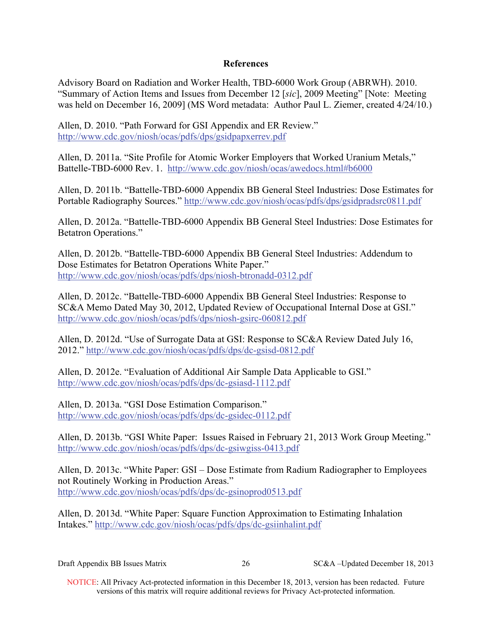## **References**

Advisory Board on Radiation and Worker Health, TBD-6000 Work Group (ABRWH). 2010. "Summary of Action Items and Issues from December 12 [*sic*], 2009 Meeting" [Note: Meeting was held on December 16, 2009] (MS Word metadata: Author Paul L. Ziemer, created 4/24/10.)

Allen, D. 2010. "Path Forward for GSI Appendix and ER Review." http://www.cdc.gov/niosh/ocas/pdfs/dps/gsidpapxerrev.pdf

Allen, D. 2011a. "Site Profile for Atomic Worker Employers that Worked Uranium Metals," Battelle-TBD-6000 Rev. 1. http://www.cdc.gov/niosh/ocas/awedocs.html#b6000

Allen, D. 2011b. "Battelle-TBD-6000 Appendix BB General Steel Industries: Dose Estimates for Portable Radiography Sources." http://www.cdc.gov/niosh/ocas/pdfs/dps/gsidpradsrc0811.pdf

Allen, D. 2012a. "Battelle-TBD-6000 Appendix BB General Steel Industries: Dose Estimates for Betatron Operations."

Allen, D. 2012b. "Battelle-TBD-6000 Appendix BB General Steel Industries: Addendum to Dose Estimates for Betatron Operations White Paper." http://www.cdc.gov/niosh/ocas/pdfs/dps/niosh-btronadd-0312.pdf

Allen, D. 2012c. "Battelle-TBD-6000 Appendix BB General Steel Industries: Response to SC&A Memo Dated May 30, 2012, Updated Review of Occupational Internal Dose at GSI." http://www.cdc.gov/niosh/ocas/pdfs/dps/niosh-gsirc-060812.pdf

Allen, D. 2012d. "Use of Surrogate Data at GSI: Response to SC&A Review Dated July 16, 2012." http://www.cdc.gov/niosh/ocas/pdfs/dps/dc-gsisd-0812.pdf

Allen, D. 2012e. "Evaluation of Additional Air Sample Data Applicable to GSI." http://www.cdc.gov/niosh/ocas/pdfs/dps/dc-gsiasd-1112.pdf

Allen, D. 2013a. "GSI Dose Estimation Comparison." http://www.cdc.gov/niosh/ocas/pdfs/dps/dc-gsidec-0112.pdf

Allen, D. 2013b. "GSI White Paper: Issues Raised in February 21, 2013 Work Group Meeting." http://www.cdc.gov/niosh/ocas/pdfs/dps/dc-gsiwgiss-0413.pdf

Allen, D. 2013c. "White Paper: GSI – Dose Estimate from Radium Radiographer to Employees not Routinely Working in Production Areas." http://www.cdc.gov/niosh/ocas/pdfs/dps/dc-gsinoprod0513.pdf

Allen, D. 2013d. "White Paper: Square Function Approximation to Estimating Inhalation Intakes." http://www.cdc.gov/niosh/ocas/pdfs/dps/dc-gsiinhalint.pdf

| Draft Appendix BB Issues Matrix |  | SC&A –Updated December 18, 2013 |
|---------------------------------|--|---------------------------------|
|---------------------------------|--|---------------------------------|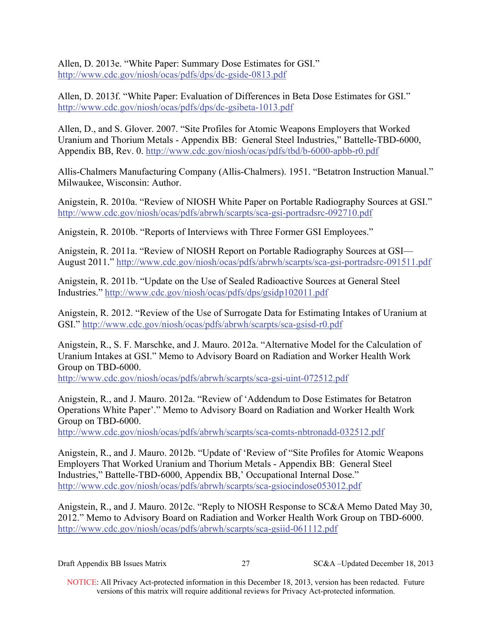Allen, D. 2013e. "White Paper: Summary Dose Estimates for GSI." http://www.cdc.gov/niosh/ocas/pdfs/dps/dc-gside-0813.pdf

Allen, D. 2013f. "White Paper: Evaluation of Differences in Beta Dose Estimates for GSI." http://www.cdc.gov/niosh/ocas/pdfs/dps/dc-gsibeta-1013.pdf

Allen, D., and S. Glover. 2007. "Site Profiles for Atomic Weapons Employers that Worked Uranium and Thorium Metals - Appendix BB: General Steel Industries," Battelle-TBD-6000, Appendix BB, Rev. 0. http://www.cdc.gov/niosh/ocas/pdfs/tbd/b-6000-apbb-r0.pdf

Allis-Chalmers Manufacturing Company (Allis-Chalmers). 1951. "Betatron Instruction Manual." Milwaukee, Wisconsin: Author.

Anigstein, R. 2010a. "Review of NIOSH White Paper on Portable Radiography Sources at GSI." http://www.cdc.gov/niosh/ocas/pdfs/abrwh/scarpts/sca-gsi-portradsrc-092710.pdf

Anigstein, R. 2010b. "Reports of Interviews with Three Former GSI Employees."

Anigstein, R. 2011a. "Review of NIOSH Report on Portable Radiography Sources at GSI— August 2011." http://www.cdc.gov/niosh/ocas/pdfs/abrwh/scarpts/sca-gsi-portradsrc-091511.pdf

Anigstein, R. 2011b. "Update on the Use of Sealed Radioactive Sources at General Steel Industries." http://www.cdc.gov/niosh/ocas/pdfs/dps/gsidp102011.pdf

Anigstein, R. 2012. "Review of the Use of Surrogate Data for Estimating Intakes of Uranium at GSI." http://www.cdc.gov/niosh/ocas/pdfs/abrwh/scarpts/sca-gsisd-r0.pdf

Anigstein, R., S. F. Marschke, and J. Mauro. 2012a. "Alternative Model for the Calculation of Uranium Intakes at GSI." Memo to Advisory Board on Radiation and Worker Health Work Group on TBD-6000.

http://www.cdc.gov/niosh/ocas/pdfs/abrwh/scarpts/sca-gsi-uint-072512.pdf

Anigstein, R., and J. Mauro. 2012a. "Review of 'Addendum to Dose Estimates for Betatron Operations White Paper'." Memo to Advisory Board on Radiation and Worker Health Work Group on TBD-6000.

http://www.cdc.gov/niosh/ocas/pdfs/abrwh/scarpts/sca-comts-nbtronadd-032512.pdf

Anigstein, R., and J. Mauro. 2012b. "Update of 'Review of "Site Profiles for Atomic Weapons Employers That Worked Uranium and Thorium Metals - Appendix BB: General Steel Industries," Battelle-TBD-6000, Appendix BB,' Occupational Internal Dose." http://www.cdc.gov/niosh/ocas/pdfs/abrwh/scarpts/sca-gsiocindose053012.pdf

Anigstein, R., and J. Mauro. 2012c. "Reply to NIOSH Response to SC&A Memo Dated May 30, 2012." Memo to Advisory Board on Radiation and Worker Health Work Group on TBD-6000. http://www.cdc.gov/niosh/ocas/pdfs/abrwh/scarpts/sca-gsiid-061112.pdf

| Draft Appendix BB Issues Matrix |  | SC&A –Updated December 18, 2013 |
|---------------------------------|--|---------------------------------|
|---------------------------------|--|---------------------------------|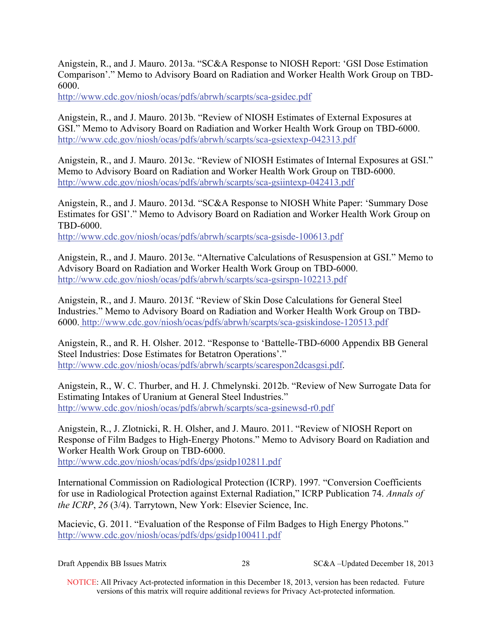Anigstein, R., and J. Mauro. 2013a. "SC&A Response to NIOSH Report: 'GSI Dose Estimation Comparison'." Memo to Advisory Board on Radiation and Worker Health Work Group on TBD-6000.

http://www.cdc.gov/niosh/ocas/pdfs/abrwh/scarpts/sca-gsidec.pdf

Anigstein, R., and J. Mauro. 2013b. "Review of NIOSH Estimates of External Exposures at GSI." Memo to Advisory Board on Radiation and Worker Health Work Group on TBD-6000. http://www.cdc.gov/niosh/ocas/pdfs/abrwh/scarpts/sca-gsiextexp-042313.pdf

Anigstein, R., and J. Mauro. 2013c. "Review of NIOSH Estimates of Internal Exposures at GSI." Memo to Advisory Board on Radiation and Worker Health Work Group on TBD-6000. http://www.cdc.gov/niosh/ocas/pdfs/abrwh/scarpts/sca-gsiintexp-042413.pdf

Anigstein, R., and J. Mauro. 2013d. "SC&A Response to NIOSH White Paper: 'Summary Dose Estimates for GSI'." Memo to Advisory Board on Radiation and Worker Health Work Group on TBD-6000.

http://www.cdc.gov/niosh/ocas/pdfs/abrwh/scarpts/sca-gsisde-100613.pdf

Anigstein, R., and J. Mauro. 2013e. "Alternative Calculations of Resuspension at GSI." Memo to Advisory Board on Radiation and Worker Health Work Group on TBD-6000. http://www.cdc.gov/niosh/ocas/pdfs/abrwh/scarpts/sca-gsirspn-102213.pdf

Anigstein, R., and J. Mauro. 2013f. "Review of Skin Dose Calculations for General Steel Industries." Memo to Advisory Board on Radiation and Worker Health Work Group on TBD-6000. http://www.cdc.gov/niosh/ocas/pdfs/abrwh/scarpts/sca-gsiskindose-120513.pdf

Anigstein, R., and R. H. Olsher. 2012. "Response to 'Battelle-TBD-6000 Appendix BB General Steel Industries: Dose Estimates for Betatron Operations'." http://www.cdc.gov/niosh/ocas/pdfs/abrwh/scarpts/scarespon2dcasgsi.pdf.

Anigstein, R., W. C. Thurber, and H. J. Chmelynski. 2012b. "Review of New Surrogate Data for Estimating Intakes of Uranium at General Steel Industries." http://www.cdc.gov/niosh/ocas/pdfs/abrwh/scarpts/sca-gsinewsd-r0.pdf

Anigstein, R., J. Zlotnicki, R. H. Olsher, and J. Mauro. 2011. "Review of NIOSH Report on Response of Film Badges to High-Energy Photons." Memo to Advisory Board on Radiation and Worker Health Work Group on TBD-6000. http://www.cdc.gov/niosh/ocas/pdfs/dps/gsidp102811.pdf

International Commission on Radiological Protection (ICRP). 1997*.* "Conversion Coefficients for use in Radiological Protection against External Radiation," ICRP Publication 74. *Annals of the ICRP*, *26* (3/4). Tarrytown, New York: Elsevier Science, Inc.

Macievic, G. 2011. "Evaluation of the Response of Film Badges to High Energy Photons." http://www.cdc.gov/niosh/ocas/pdfs/dps/gsidp100411.pdf

| Draft Appendix BB Issues Matrix | SC&A-Updated December 18, 2013 |
|---------------------------------|--------------------------------|
|---------------------------------|--------------------------------|